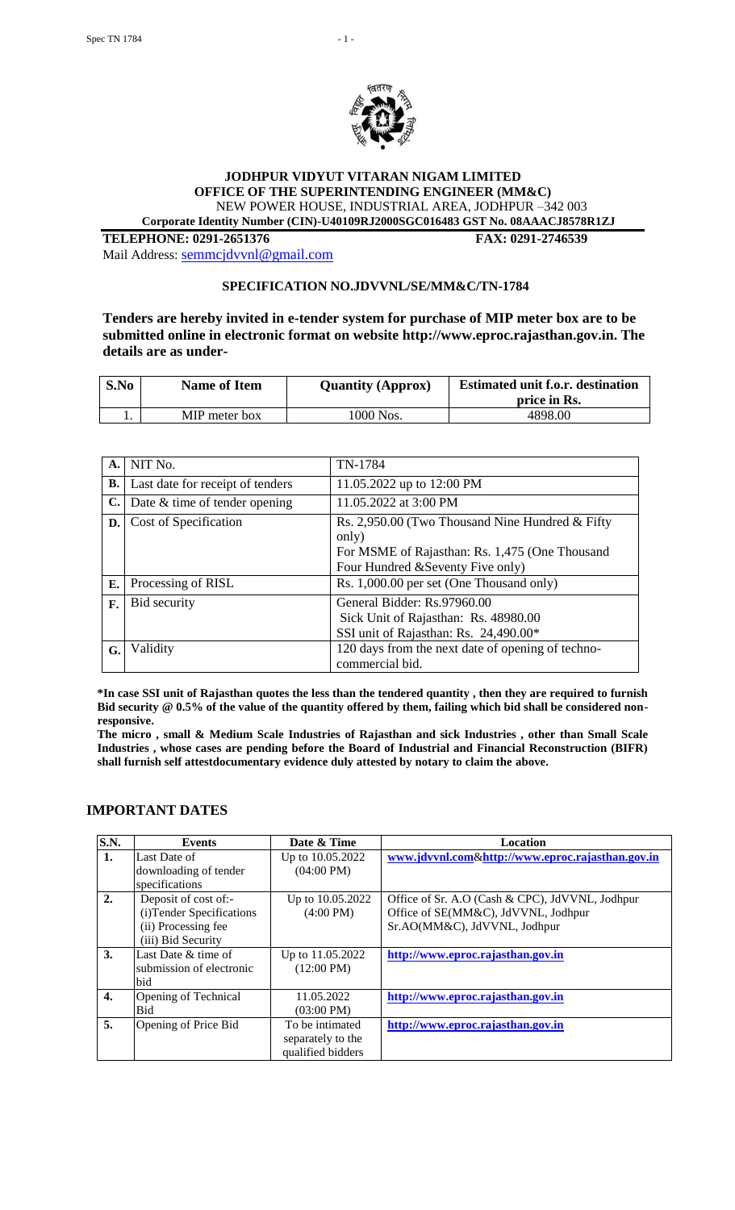

# **JODHPUR VIDYUT VITARAN NIGAM LIMITED OFFICE OF THE SUPERINTENDING ENGINEER (MM&C)** NEW POWER HOUSE, INDUSTRIAL AREA, JODHPUR –342 003

 **Corporate Identity Number (CIN)-U40109RJ2000SGC016483 GST No. 08AAACJ8578R1ZJ**

**TELEPHONE: 0291-2651376 FAX: 0291-2746539**

Mail Address: [semmcjdvvnl@gmail.com](mailto:semmcjdvvnl@gmail.com)

#### **SPECIFICATION NO.JDVVNL/SE/MM&C/TN-1784**

**Tenders are hereby invited in e-tender system for purchase of MIP meter box are to be submitted online in electronic format on website http://www.eproc.rajasthan.gov.in. The details are as under-**

| S.No | <b>Name of Item</b> | <b>Quantity (Approx)</b> | <b>Estimated unit f.o.r. destination</b><br>price in Rs. |
|------|---------------------|--------------------------|----------------------------------------------------------|
|      | MIP meter box       | 1000 Nos.                | 4898.00                                                  |

| A.             | NIT No.                          | TN-1784                                                                                                                                         |
|----------------|----------------------------------|-------------------------------------------------------------------------------------------------------------------------------------------------|
| <b>B.</b>      | Last date for receipt of tenders | 11.05.2022 up to 12:00 PM                                                                                                                       |
| $\mathbf{C}$ . | Date & time of tender opening    | 11.05.2022 at 3:00 PM                                                                                                                           |
| D.             | Cost of Specification            | Rs. 2,950.00 (Two Thousand Nine Hundred & Fifty<br>only)<br>For MSME of Rajasthan: Rs. 1,475 (One Thousand<br>Four Hundred & Seventy Five only) |
| Е.             | Processing of RISL               | Rs. 1,000.00 per set (One Thousand only)                                                                                                        |
| F.             | Bid security                     | General Bidder: Rs.97960.00<br>Sick Unit of Rajasthan: Rs. 48980.00<br>SSI unit of Rajasthan: Rs. 24,490.00*                                    |
| G.             | Validity                         | 120 days from the next date of opening of techno-<br>commercial bid.                                                                            |

**\*In case SSI unit of Rajasthan quotes the less than the tendered quantity , then they are required to furnish Bid security @ 0.5% of the value of the quantity offered by them, failing which bid shall be considered nonresponsive.**

**The micro , small & Medium Scale Industries of Rajasthan and sick Industries , other than Small Scale Industries , whose cases are pending before the Board of Industrial and Financial Reconstruction (BIFR) shall furnish self attestdocumentary evidence duly attested by notary to claim the above.**

#### **IMPORTANT DATES**

| S.N.         | <b>Events</b>             | Date & Time          | <b>Location</b>                                  |
|--------------|---------------------------|----------------------|--------------------------------------------------|
| 1.           | Last Date of              | Up to 10.05.2022     | www.jdvvnl.com&http://www.eproc.rajasthan.gov.in |
|              | downloading of tender     | $(04:00 \text{ PM})$ |                                                  |
|              | specifications            |                      |                                                  |
| 2.           | Deposit of cost of:-      | Up to 10.05.2022     | Office of Sr. A.O (Cash & CPC), JdVVNL, Jodhpur  |
|              | (i) Tender Specifications | $(4:00 \text{ PM})$  | Office of SE(MM&C), JdVVNL, Jodhpur              |
|              | (ii) Processing fee       |                      | Sr.AO(MM&C), JdVVNL, Jodhpur                     |
|              | (iii) Bid Security        |                      |                                                  |
| 3.           | Last Date & time of       | Up to 11.05.2022     | http://www.eproc.rajasthan.gov.in                |
|              | submission of electronic  | $(12:00 \text{ PM})$ |                                                  |
|              | bid                       |                      |                                                  |
| $\mathbf{4}$ | Opening of Technical      | 11.05.2022           | http://www.eproc.rajasthan.gov.in                |
|              | Bid                       | $(03:00 \text{ PM})$ |                                                  |
| 5.           | Opening of Price Bid      | To be intimated      | http://www.eproc.rajasthan.gov.in                |
|              |                           | separately to the    |                                                  |
|              |                           | qualified bidders    |                                                  |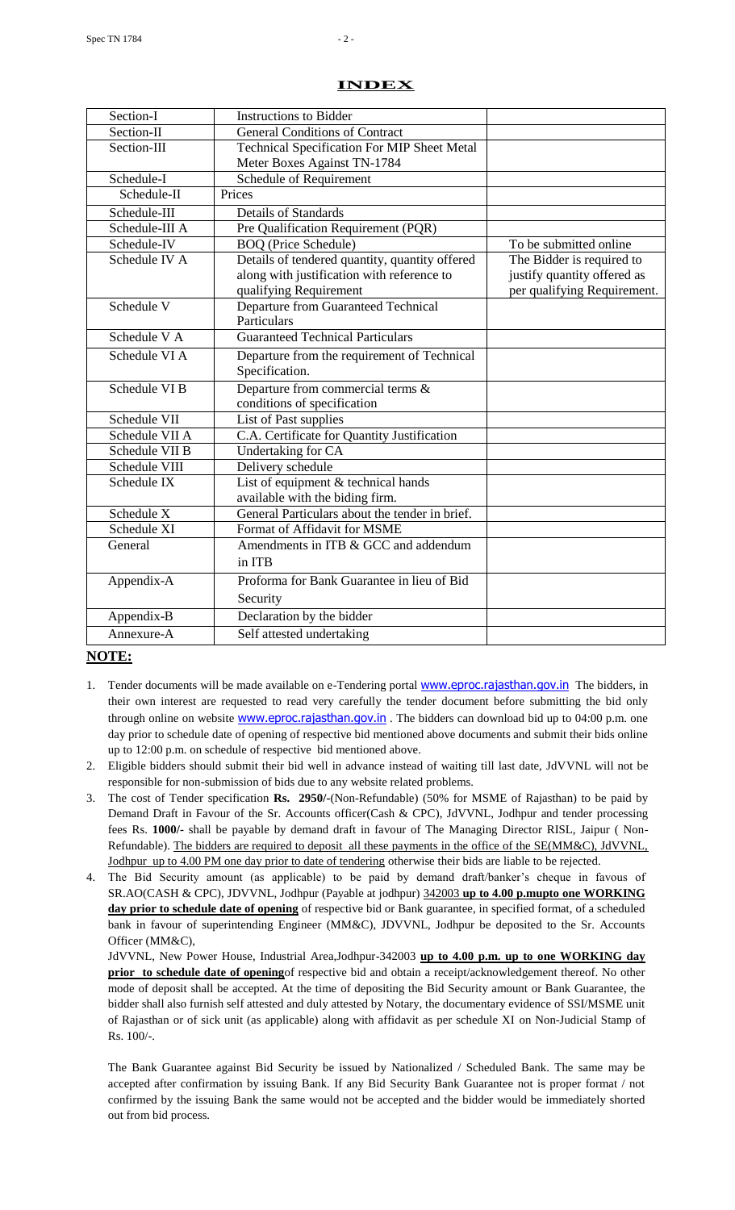| Section-I      | <b>Instructions to Bidder</b>                                                                                          |                                                                                         |
|----------------|------------------------------------------------------------------------------------------------------------------------|-----------------------------------------------------------------------------------------|
| Section-II     | <b>General Conditions of Contract</b>                                                                                  |                                                                                         |
| Section-III    | <b>Technical Specification For MIP Sheet Metal</b>                                                                     |                                                                                         |
|                | Meter Boxes Against TN-1784                                                                                            |                                                                                         |
| Schedule-I     | Schedule of Requirement                                                                                                |                                                                                         |
| Schedule-II    | Prices                                                                                                                 |                                                                                         |
| Schedule-III   | <b>Details of Standards</b>                                                                                            |                                                                                         |
| Schedule-III A | Pre Qualification Requirement (PQR)                                                                                    |                                                                                         |
| Schedule-IV    | <b>BOQ</b> (Price Schedule)                                                                                            | To be submitted online                                                                  |
| Schedule IV A  | Details of tendered quantity, quantity offered<br>along with justification with reference to<br>qualifying Requirement | The Bidder is required to<br>justify quantity offered as<br>per qualifying Requirement. |
| Schedule V     | Departure from Guaranteed Technical<br>Particulars                                                                     |                                                                                         |
| Schedule V A   | <b>Guaranteed Technical Particulars</b>                                                                                |                                                                                         |
| Schedule VI A  | Departure from the requirement of Technical<br>Specification.                                                          |                                                                                         |
| Schedule VI B  | Departure from commercial terms &<br>conditions of specification                                                       |                                                                                         |
| Schedule VII   | List of Past supplies                                                                                                  |                                                                                         |
| Schedule VII A | C.A. Certificate for Quantity Justification                                                                            |                                                                                         |
| Schedule VII B | Undertaking for CA                                                                                                     |                                                                                         |
| Schedule VIII  | Delivery schedule                                                                                                      |                                                                                         |
| Schedule IX    | List of equipment & technical hands                                                                                    |                                                                                         |
| Schedule X     | available with the biding firm.<br>General Particulars about the tender in brief.                                      |                                                                                         |
| Schedule XI    | Format of Affidavit for MSME                                                                                           |                                                                                         |
| General        | Amendments in ITB & GCC and addendum                                                                                   |                                                                                         |
|                | in ITB                                                                                                                 |                                                                                         |
| Appendix-A     | Proforma for Bank Guarantee in lieu of Bid                                                                             |                                                                                         |
|                | Security                                                                                                               |                                                                                         |
| Appendix-B     | Declaration by the bidder                                                                                              |                                                                                         |
| Annexure-A     | Self attested undertaking                                                                                              |                                                                                         |
|                |                                                                                                                        |                                                                                         |

#### **INDEX**

# **NOTE:**

- 1. Tender documents will be made available on e-Tendering portal **[www.eproc.rajasthan.gov.in](http://www.eproc.rajasthan.gov.in/)** The bidders, in their own interest are requested to read very carefully the tender document before submitting the bid only through online on website **[www.eproc.rajasthan.gov.in](http://www.eproc.rajasthan.gov.in/)**. The bidders can download bid up to 04:00 p.m. one day prior to schedule date of opening of respective bid mentioned above documents and submit their bids online up to 12:00 p.m. on schedule of respective bid mentioned above.
- 2. Eligible bidders should submit their bid well in advance instead of waiting till last date, JdVVNL will not be responsible for non-submission of bids due to any website related problems.
- 3. The cost of Tender specification **Rs. 2950/-**(Non-Refundable) (50% for MSME of Rajasthan) to be paid by Demand Draft in Favour of the Sr. Accounts officer(Cash & CPC), JdVVNL, Jodhpur and tender processing fees Rs. **1000/-** shall be payable by demand draft in favour of The Managing Director RISL, Jaipur ( Non-Refundable). The bidders are required to deposit all these payments in the office of the SE(MM&C), JdVVNL, Jodhpur up to 4.00 PM one day prior to date of tendering otherwise their bids are liable to be rejected.
- 4. The Bid Security amount (as applicable) to be paid by demand draft/banker's cheque in favous of SR.AO(CASH & CPC), JDVVNL, Jodhpur (Payable at jodhpur) 342003 **up to 4.00 p.mupto one WORKING day prior to schedule date of opening** of respective bid or Bank guarantee, in specified format, of a scheduled bank in favour of superintending Engineer (MM&C), JDVVNL, Jodhpur be deposited to the Sr. Accounts Officer (MM&C),

JdVVNL, New Power House, Industrial Area,Jodhpur-342003 **up to 4.00 p.m. up to one WORKING day prior** to schedule date of openingof respective bid and obtain a receipt/acknowledgement thereof. No other mode of deposit shall be accepted. At the time of depositing the Bid Security amount or Bank Guarantee, the bidder shall also furnish self attested and duly attested by Notary, the documentary evidence of SSI/MSME unit of Rajasthan or of sick unit (as applicable) along with affidavit as per schedule XI on Non-Judicial Stamp of Rs. 100/-.

The Bank Guarantee against Bid Security be issued by Nationalized / Scheduled Bank. The same may be accepted after confirmation by issuing Bank. If any Bid Security Bank Guarantee not is proper format / not confirmed by the issuing Bank the same would not be accepted and the bidder would be immediately shorted out from bid process.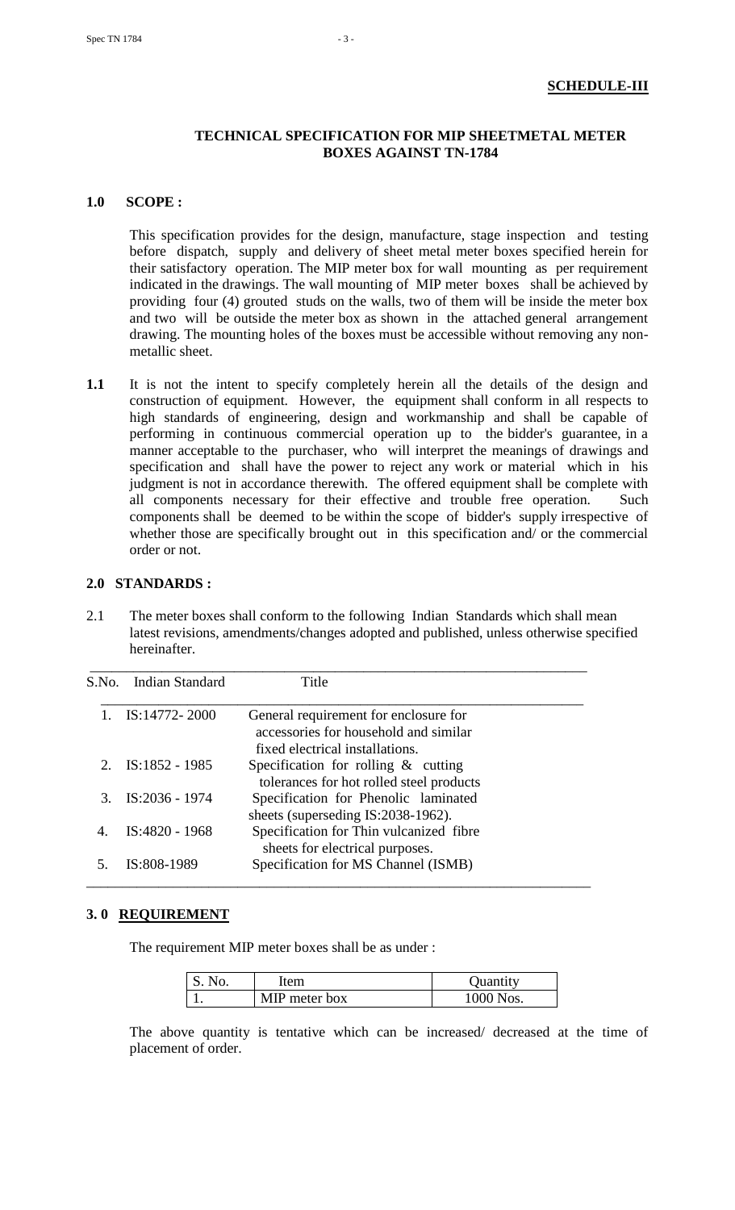# **TECHNICAL SPECIFICATION FOR MIP SHEETMETAL METER BOXES AGAINST TN-1784**

#### **1.0 SCOPE :**

This specification provides for the design, manufacture, stage inspection and testing before dispatch, supply and delivery of sheet metal meter boxes specified herein for their satisfactory operation. The MIP meter box for wall mounting as per requirement indicated in the drawings. The wall mounting of MIP meter boxes shall be achieved by providing four (4) grouted studs on the walls, two of them will be inside the meter box and two will be outside the meter box as shown in the attached general arrangement drawing. The mounting holes of the boxes must be accessible without removing any nonmetallic sheet.

**1.1** It is not the intent to specify completely herein all the details of the design and construction of equipment. However, the equipment shall conform in all respects to high standards of engineering, design and workmanship and shall be capable of performing in continuous commercial operation up to the bidder's guarantee, in a manner acceptable to the purchaser, who will interpret the meanings of drawings and specification and shall have the power to reject any work or material which in his judgment is not in accordance therewith. The offered equipment shall be complete with all components necessary for their effective and trouble free operation. Such components shall be deemed to be within the scope of bidder's supply irrespective of whether those are specifically brought out in this specification and/ or the commercial order or not.

# **2.0 STANDARDS :**

2.1 The meter boxes shall conform to the following Indian Standards which shall mean latest revisions, amendments/changes adopted and published, unless otherwise specified hereinafter.

|    | S.No. Indian Standard | Title                                                                                                             |
|----|-----------------------|-------------------------------------------------------------------------------------------------------------------|
|    | IS:14772-2000         | General requirement for enclosure for<br>accessories for household and similar<br>fixed electrical installations. |
|    | 2. $IS:1852 - 1985$   | Specification for rolling $\&$ cutting<br>tolerances for hot rolled steel products                                |
|    | IS:2036 - 1974        | Specification for Phenolic laminated<br>sheets (superseding IS:2038-1962).                                        |
| 4. | IS:4820 - 1968        | Specification for Thin vulcanized fibre<br>sheets for electrical purposes.                                        |
|    | IS:808-1989           | Specification for MS Channel (ISMB)                                                                               |

#### **3. 0 REQUIREMENT**

The requirement MIP meter boxes shall be as under :

| No. | ltem          | Quantity  |
|-----|---------------|-----------|
|     | MIP meter box | 1000 Nos. |

The above quantity is tentative which can be increased/ decreased at the time of placement of order.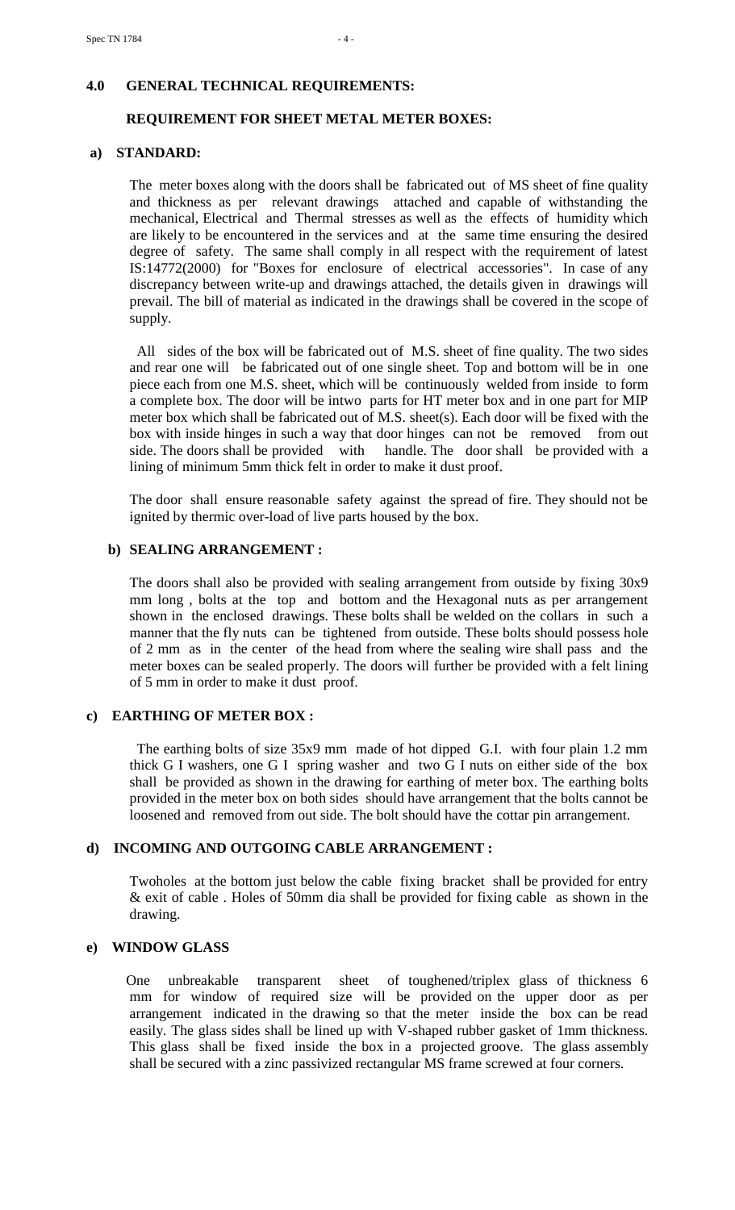# **4.0 GENERAL TECHNICAL REQUIREMENTS:**

#### **REQUIREMENT FOR SHEET METAL METER BOXES:**

#### **a) STANDARD:**

 The meter boxes along with the doors shall be fabricated out of MS sheet of fine quality and thickness as per relevant drawings attached and capable of withstanding the mechanical, Electrical and Thermal stresses as well as the effects of humidity which are likely to be encountered in the services and at the same time ensuring the desired degree of safety. The same shall comply in all respect with the requirement of latest IS:14772(2000) for "Boxes for enclosure of electrical accessories". In case of any discrepancy between write-up and drawings attached, the details given in drawings will prevail. The bill of material as indicated in the drawings shall be covered in the scope of supply.

 All sides of the box will be fabricated out of M.S. sheet of fine quality. The two sides and rear one will be fabricated out of one single sheet. Top and bottom will be in one piece each from one M.S. sheet, which will be continuously welded from inside to form a complete box. The door will be intwo parts for HT meter box and in one part for MIP meter box which shall be fabricated out of M.S. sheet(s). Each door will be fixed with the box with inside hinges in such a way that door hinges can not be removed from out side. The doors shall be provided with handle. The door shall be provided with a lining of minimum 5mm thick felt in order to make it dust proof.

 The door shall ensure reasonable safety against the spread of fire. They should not be ignited by thermic over-load of live parts housed by the box.

#### **b) SEALING ARRANGEMENT :**

 The doors shall also be provided with sealing arrangement from outside by fixing 30x9 mm long , bolts at the top and bottom and the Hexagonal nuts as per arrangement shown in the enclosed drawings. These bolts shall be welded on the collars in such a manner that the fly nuts can be tightened from outside. These bolts should possess hole of 2 mm as in the center of the head from where the sealing wire shall pass and the meter boxes can be sealed properly. The doors will further be provided with a felt lining of 5 mm in order to make it dust proof.

#### **c) EARTHING OF METER BOX :**

 The earthing bolts of size 35x9 mm made of hot dipped G.I. with four plain 1.2 mm thick G I washers, one G I spring washer and two G I nuts on either side of the box shall be provided as shown in the drawing for earthing of meter box. The earthing bolts provided in the meter box on both sides should have arrangement that the bolts cannot be loosened and removed from out side. The bolt should have the cottar pin arrangement.

# **d) INCOMING AND OUTGOING CABLE ARRANGEMENT :**

Twoholes at the bottom just below the cable fixing bracket shall be provided for entry & exit of cable . Holes of 50mm dia shall be provided for fixing cable as shown in the drawing.

#### **e) WINDOW GLASS**

 One unbreakable transparent sheet of toughened/triplex glass of thickness 6 mm for window of required size will be provided on the upper door as per arrangement indicated in the drawing so that the meter inside the box can be read easily. The glass sides shall be lined up with V-shaped rubber gasket of 1mm thickness. This glass shall be fixed inside the box in a projected groove. The glass assembly shall be secured with a zinc passivized rectangular MS frame screwed at four corners.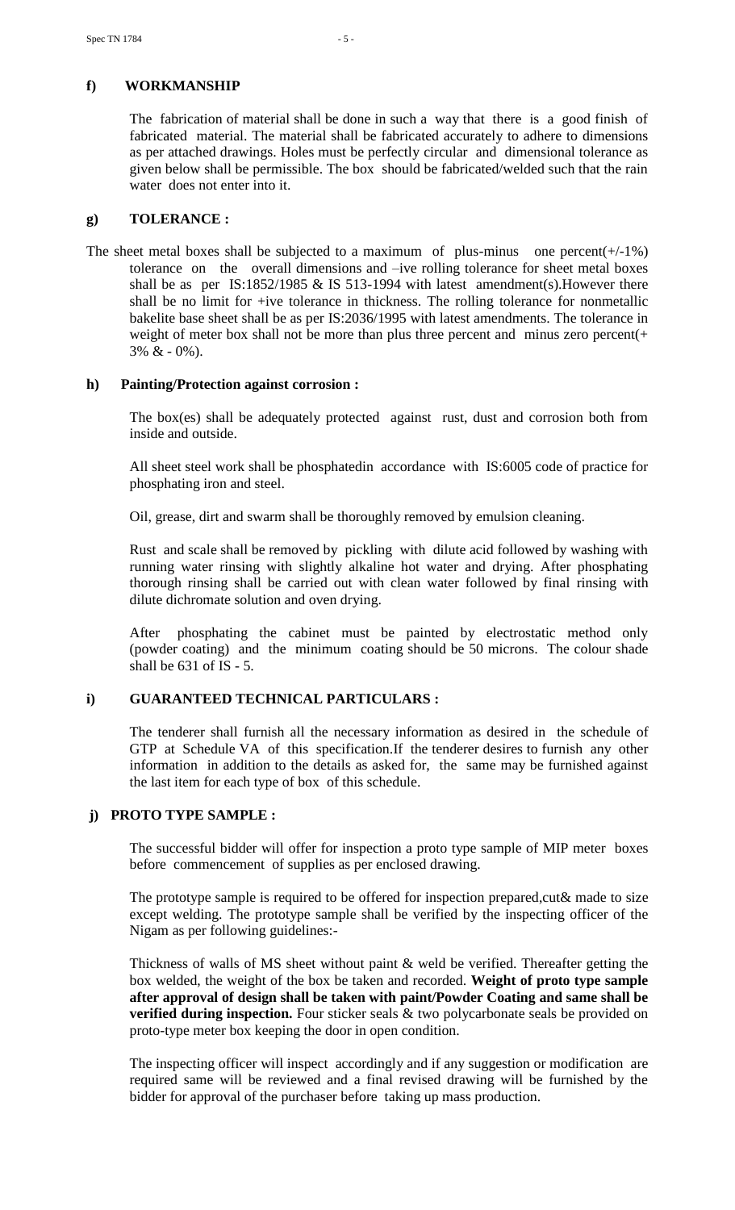# **f) WORKMANSHIP**

The fabrication of material shall be done in such a way that there is a good finish of fabricated material. The material shall be fabricated accurately to adhere to dimensions as per attached drawings. Holes must be perfectly circular and dimensional tolerance as given below shall be permissible. The box should be fabricated/welded such that the rain water does not enter into it.

# **g) TOLERANCE :**

The sheet metal boxes shall be subjected to a maximum of plus-minus one percent $(+/-1\%)$ tolerance on the overall dimensions and –ive rolling tolerance for sheet metal boxes shall be as per IS:1852/1985 & IS 513-1994 with latest amendment(s). However there shall be no limit for +ive tolerance in thickness. The rolling tolerance for nonmetallic bakelite base sheet shall be as per IS:2036/1995 with latest amendments. The tolerance in weight of meter box shall not be more than plus three percent and minus zero percent $(+)$  $3\% \& -0\%$ ).

# **h) Painting/Protection against corrosion :**

 The box(es) shall be adequately protected against rust, dust and corrosion both from inside and outside.

All sheet steel work shall be phosphatedin accordance with IS:6005 code of practice for phosphating iron and steel.

Oil, grease, dirt and swarm shall be thoroughly removed by emulsion cleaning.

Rust and scale shall be removed by pickling with dilute acid followed by washing with running water rinsing with slightly alkaline hot water and drying. After phosphating thorough rinsing shall be carried out with clean water followed by final rinsing with dilute dichromate solution and oven drying.

After phosphating the cabinet must be painted by electrostatic method only (powder coating) and the minimum coating should be 50 microns. The colour shade shall be 631 of IS - 5.

# **i) GUARANTEED TECHNICAL PARTICULARS :**

 The tenderer shall furnish all the necessary information as desired in the schedule of GTP at Schedule VA of this specification.If the tenderer desires to furnish any other information in addition to the details as asked for, the same may be furnished against the last item for each type of box of this schedule.

# **j) PROTO TYPE SAMPLE :**

 The successful bidder will offer for inspection a proto type sample of MIP meter boxes before commencement of supplies as per enclosed drawing.

The prototype sample is required to be offered for inspection prepared, cut & made to size except welding. The prototype sample shall be verified by the inspecting officer of the Nigam as per following guidelines:-

Thickness of walls of MS sheet without paint & weld be verified. Thereafter getting the box welded, the weight of the box be taken and recorded. **Weight of proto type sample after approval of design shall be taken with paint/Powder Coating and same shall be verified during inspection.** Four sticker seals & two polycarbonate seals be provided on proto-type meter box keeping the door in open condition.

The inspecting officer will inspect accordingly and if any suggestion or modification are required same will be reviewed and a final revised drawing will be furnished by the bidder for approval of the purchaser before taking up mass production.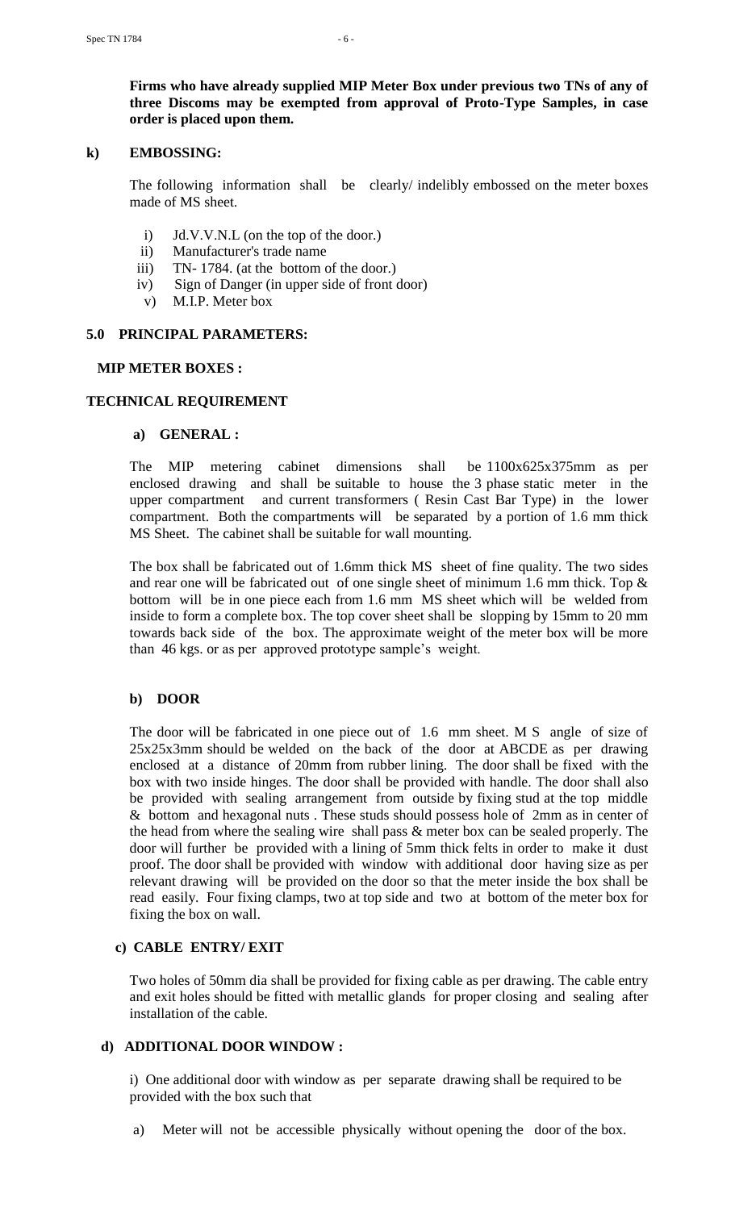**Firms who have already supplied MIP Meter Box under previous two TNs of any of three Discoms may be exempted from approval of Proto-Type Samples, in case order is placed upon them.**

#### **k) EMBOSSING:**

 The following information shall be clearly/ indelibly embossed on the meter boxes made of MS sheet.

- i) Jd.V.V.N.L (on the top of the door.)
- ii) Manufacturer's trade name
- iii) TN- 1784. (at the bottom of the door.)
- iv) Sign of Danger (in upper side of front door)
- v) M.I.P. Meter box

# **5.0 PRINCIPAL PARAMETERS:**

# **MIP METER BOXES :**

# **TECHNICAL REQUIREMENT**

# **a) GENERAL :**

 The MIP metering cabinet dimensions shall be 1100x625x375mm as per enclosed drawing and shall be suitable to house the 3 phase static meter in the upper compartment and current transformers ( Resin Cast Bar Type) in the lower compartment. Both the compartments will be separated by a portion of 1.6 mm thick MS Sheet. The cabinet shall be suitable for wall mounting.

 The box shall be fabricated out of 1.6mm thick MS sheet of fine quality. The two sides and rear one will be fabricated out of one single sheet of minimum 1.6 mm thick. Top  $\&$ bottom will be in one piece each from 1.6 mm MS sheet which will be welded from inside to form a complete box. The top cover sheet shall be slopping by 15mm to 20 mm towards back side of the box. The approximate weight of the meter box will be more than 46 kgs. or as per approved prototype sample's weight.

# **b) DOOR**

 The door will be fabricated in one piece out of 1.6 mm sheet. M S angle of size of 25x25x3mm should be welded on the back of the door at ABCDE as per drawing enclosed at a distance of 20mm from rubber lining. The door shall be fixed with the box with two inside hinges. The door shall be provided with handle. The door shall also be provided with sealing arrangement from outside by fixing stud at the top middle & bottom and hexagonal nuts . These studs should possess hole of 2mm as in center of the head from where the sealing wire shall pass & meter box can be sealed properly. The door will further be provided with a lining of 5mm thick felts in order to make it dust proof. The door shall be provided with window with additional door having size as per relevant drawing will be provided on the door so that the meter inside the box shall be read easily. Four fixing clamps, two at top side and two at bottom of the meter box for fixing the box on wall.

# **c) CABLE ENTRY/ EXIT**

Two holes of 50mm dia shall be provided for fixing cable as per drawing. The cable entry and exit holes should be fitted with metallic glands for proper closing and sealing after installation of the cable.

# **d) ADDITIONAL DOOR WINDOW :**

i) One additional door with window as per separate drawing shall be required to be provided with the box such that

a) Meter will not be accessible physically without opening the door of the box.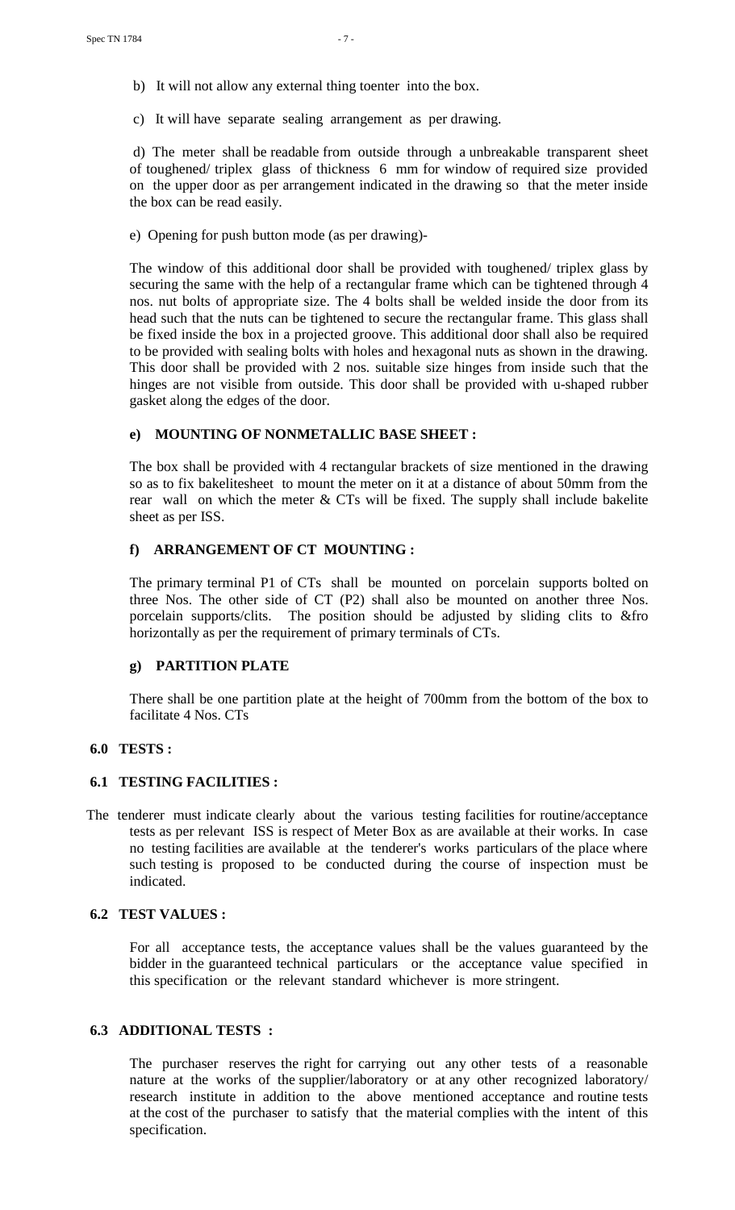- b) It will not allow any external thing toenter into the box.
- c) It will have separate sealing arrangement as per drawing.

d) The meter shall be readable from outside through a unbreakable transparent sheet of toughened/ triplex glass of thickness 6 mm for window of required size provided on the upper door as per arrangement indicated in the drawing so that the meter inside the box can be read easily.

e) Opening for push button mode (as per drawing)-

 The window of this additional door shall be provided with toughened/ triplex glass by securing the same with the help of a rectangular frame which can be tightened through 4 nos. nut bolts of appropriate size. The 4 bolts shall be welded inside the door from its head such that the nuts can be tightened to secure the rectangular frame. This glass shall be fixed inside the box in a projected groove. This additional door shall also be required to be provided with sealing bolts with holes and hexagonal nuts as shown in the drawing. This door shall be provided with 2 nos. suitable size hinges from inside such that the hinges are not visible from outside. This door shall be provided with u-shaped rubber gasket along the edges of the door.

#### **e) MOUNTING OF NONMETALLIC BASE SHEET :**

 The box shall be provided with 4 rectangular brackets of size mentioned in the drawing so as to fix bakelitesheet to mount the meter on it at a distance of about 50mm from the rear wall on which the meter  $& CTs$  will be fixed. The supply shall include bakelite sheet as per ISS.

#### **f) ARRANGEMENT OF CT MOUNTING :**

 The primary terminal P1 of CTs shall be mounted on porcelain supports bolted on three Nos. The other side of CT (P2) shall also be mounted on another three Nos. porcelain supports/clits. The position should be adjusted by sliding clits to &fro horizontally as per the requirement of primary terminals of CTs.

#### **g) PARTITION PLATE**

There shall be one partition plate at the height of 700mm from the bottom of the box to facilitate 4 Nos. CTs

#### **6.0 TESTS :**

#### **6.1 TESTING FACILITIES :**

The tenderer must indicate clearly about the various testing facilities for routine/acceptance tests as per relevant ISS is respect of Meter Box as are available at their works. In case no testing facilities are available at the tenderer's works particulars of the place where such testing is proposed to be conducted during the course of inspection must be indicated.

#### **6.2 TEST VALUES :**

For all acceptance tests, the acceptance values shall be the values guaranteed by the bidder in the guaranteed technical particulars or the acceptance value specified in this specification or the relevant standard whichever is more stringent.

# **6.3 ADDITIONAL TESTS :**

 The purchaser reserves the right for carrying out any other tests of a reasonable nature at the works of the supplier/laboratory or at any other recognized laboratory/ research institute in addition to the above mentioned acceptance and routine tests at the cost of the purchaser to satisfy that the material complies with the intent of this specification.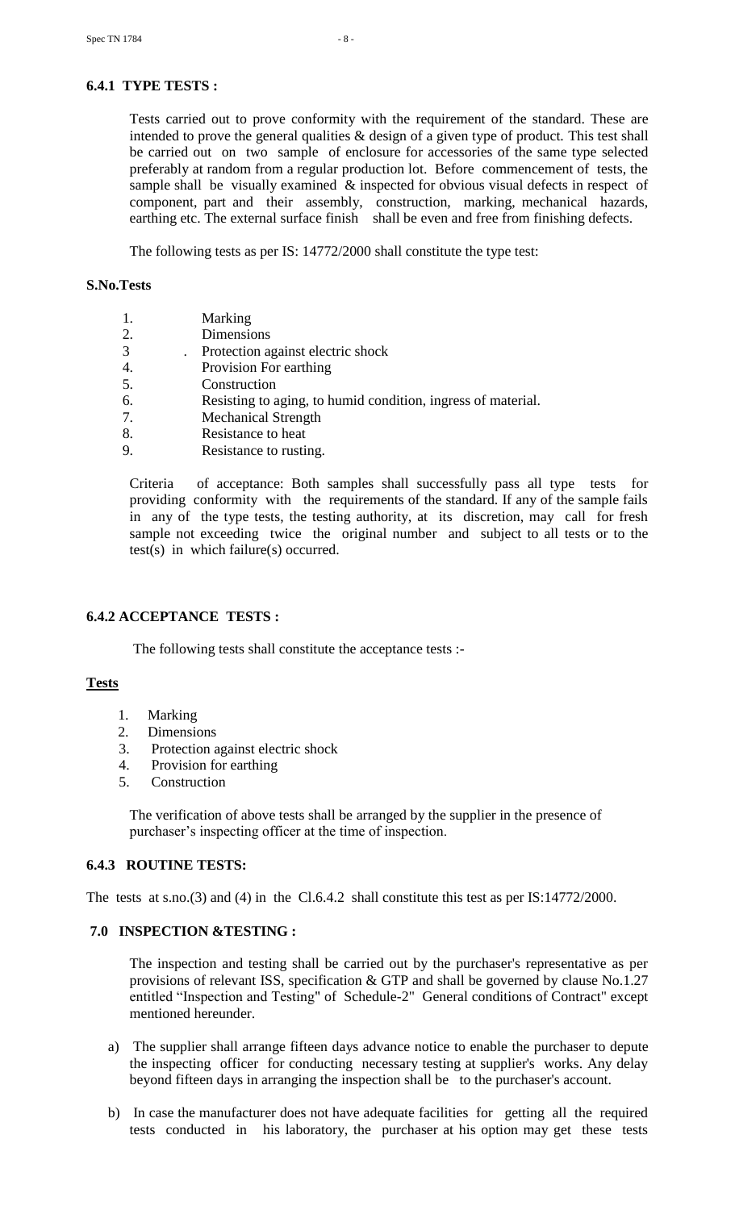# **6.4.1 TYPE TESTS :**

Tests carried out to prove conformity with the requirement of the standard. These are intended to prove the general qualities & design of a given type of product. This test shall be carried out on two sample of enclosure for accessories of the same type selected preferably at random from a regular production lot. Before commencement of tests, the sample shall be visually examined & inspected for obvious visual defects in respect of component, part and their assembly, construction, marking, mechanical hazards, earthing etc. The external surface finish shall be even and free from finishing defects.

The following tests as per IS: 14772/2000 shall constitute the type test:

#### **S.No.Tests**

|  | Marking |
|--|---------|
|--|---------|

- 2. Dimensions
- 3 . Protection against electric shock
- 4. Provision For earthing
- 5. Construction
- 6. Resisting to aging, to humid condition, ingress of material.
- 7. Mechanical Strength
- 8. Resistance to heat
- 9. Resistance to rusting.

Criteria of acceptance: Both samples shall successfully pass all type tests for providing conformity with the requirements of the standard. If any of the sample fails in any of the type tests, the testing authority, at its discretion, may call for fresh sample not exceeding twice the original number and subject to all tests or to the test(s) in which failure(s) occurred.

# **6.4.2 ACCEPTANCE TESTS :**

The following tests shall constitute the acceptance tests :-

# **Tests**

- 1. Marking
- 2. Dimensions
- 3. Protection against electric shock
- 4. Provision for earthing
- 5. Construction

 The verification of above tests shall be arranged by the supplier in the presence of purchaser"s inspecting officer at the time of inspection.

#### **6.4.3 ROUTINE TESTS:**

The tests at s.no.(3) and (4) in the Cl.6.4.2 shall constitute this test as per IS:14772/2000.

#### **7.0 INSPECTION &TESTING :**

 The inspection and testing shall be carried out by the purchaser's representative as per provisions of relevant ISS, specification & GTP and shall be governed by clause No.1.27 entitled "Inspection and Testing" of Schedule-2" General conditions of Contract" except mentioned hereunder.

- a) The supplier shall arrange fifteen days advance notice to enable the purchaser to depute the inspecting officer for conducting necessary testing at supplier's works. Any delay beyond fifteen days in arranging the inspection shall be to the purchaser's account.
- b) In case the manufacturer does not have adequate facilities for getting all the required tests conducted in his laboratory, the purchaser at his option may get these tests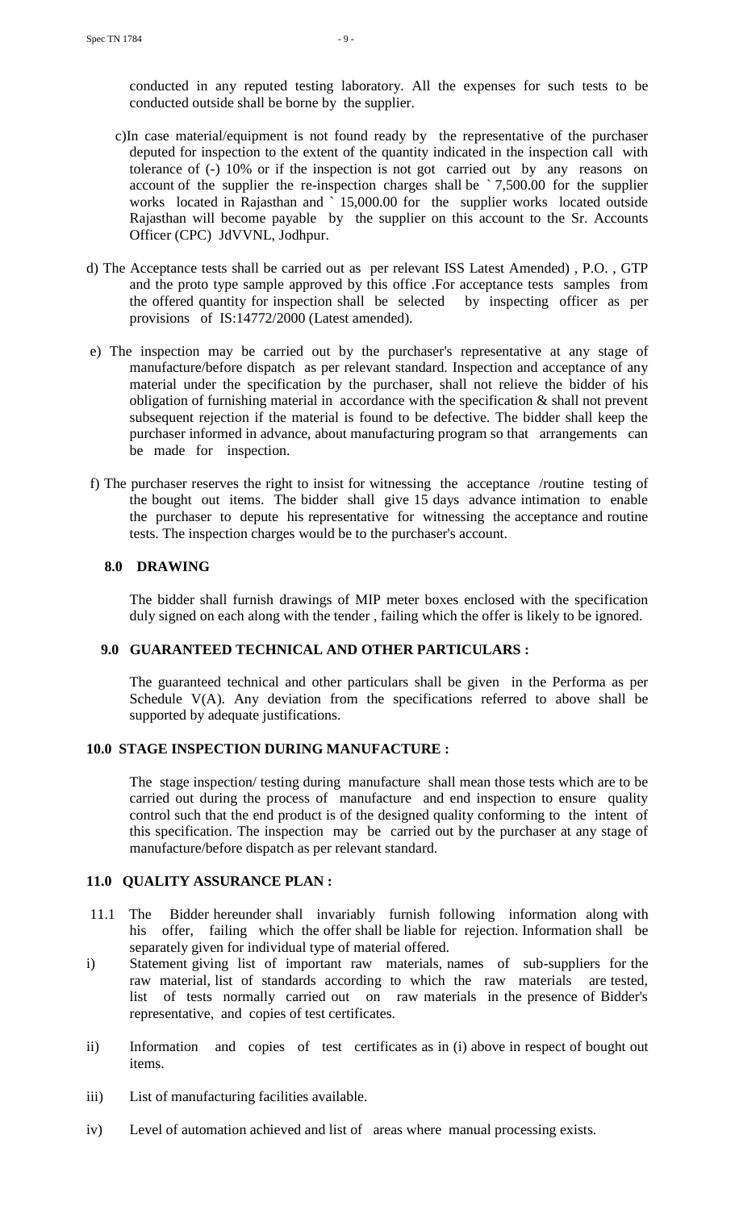conducted in any reputed testing laboratory. All the expenses for such tests to be conducted outside shall be borne by the supplier.

- c)In case material/equipment is not found ready by the representative of the purchaser deputed for inspection to the extent of the quantity indicated in the inspection call with tolerance of (-) 10% or if the inspection is not got carried out by any reasons on account of the supplier the re-inspection charges shall be ` 7,500.00 for the supplier works located in Rajasthan and ` 15,000.00 for the supplier works located outside Rajasthan will become payable by the supplier on this account to the Sr. Accounts Officer (CPC) JdVVNL, Jodhpur.
- d) The Acceptance tests shall be carried out as per relevant ISS Latest Amended) , P.O. , GTP and the proto type sample approved by this office .For acceptance tests samples from the offered quantity for inspection shall be selected by inspecting officer as per provisions of IS:14772/2000 (Latest amended).
- e) The inspection may be carried out by the purchaser's representative at any stage of manufacture/before dispatch as per relevant standard. Inspection and acceptance of any material under the specification by the purchaser, shall not relieve the bidder of his obligation of furnishing material in accordance with the specification & shall not prevent subsequent rejection if the material is found to be defective. The bidder shall keep the purchaser informed in advance, about manufacturing program so that arrangements can be made for inspection.
- f) The purchaser reserves the right to insist for witnessing the acceptance /routine testing of the bought out items. The bidder shall give 15 days advance intimation to enable the purchaser to depute his representative for witnessing the acceptance and routine tests. The inspection charges would be to the purchaser's account.

# **8.0 DRAWING**

The bidder shall furnish drawings of MIP meter boxes enclosed with the specification duly signed on each along with the tender, failing which the offer is likely to be ignored.

#### **9.0 GUARANTEED TECHNICAL AND OTHER PARTICULARS :**

 The guaranteed technical and other particulars shall be given in the Performa as per Schedule V(A). Any deviation from the specifications referred to above shall be supported by adequate justifications.

# **10.0 STAGE INSPECTION DURING MANUFACTURE :**

The stage inspection/ testing during manufacture shall mean those tests which are to be carried out during the process of manufacture and end inspection to ensure quality control such that the end product is of the designed quality conforming to the intent of this specification. The inspection may be carried out by the purchaser at any stage of manufacture/before dispatch as per relevant standard.

# **11.0 QUALITY ASSURANCE PLAN :**

- 11.1 The Bidder hereunder shall invariably furnish following information along with his offer, failing which the offer shall be liable for rejection. Information shall be separately given for individual type of material offered.
- i) Statement giving list of important raw materials, names of sub-suppliers for the raw material, list of standards according to which the raw materials are tested, list of tests normally carried out on raw materials in the presence of Bidder's representative, and copies of test certificates.
- ii) Information and copies of test certificates as in (i) above in respect of bought out items.
- iii) List of manufacturing facilities available.
- iv) Level of automation achieved and list of areas where manual processing exists.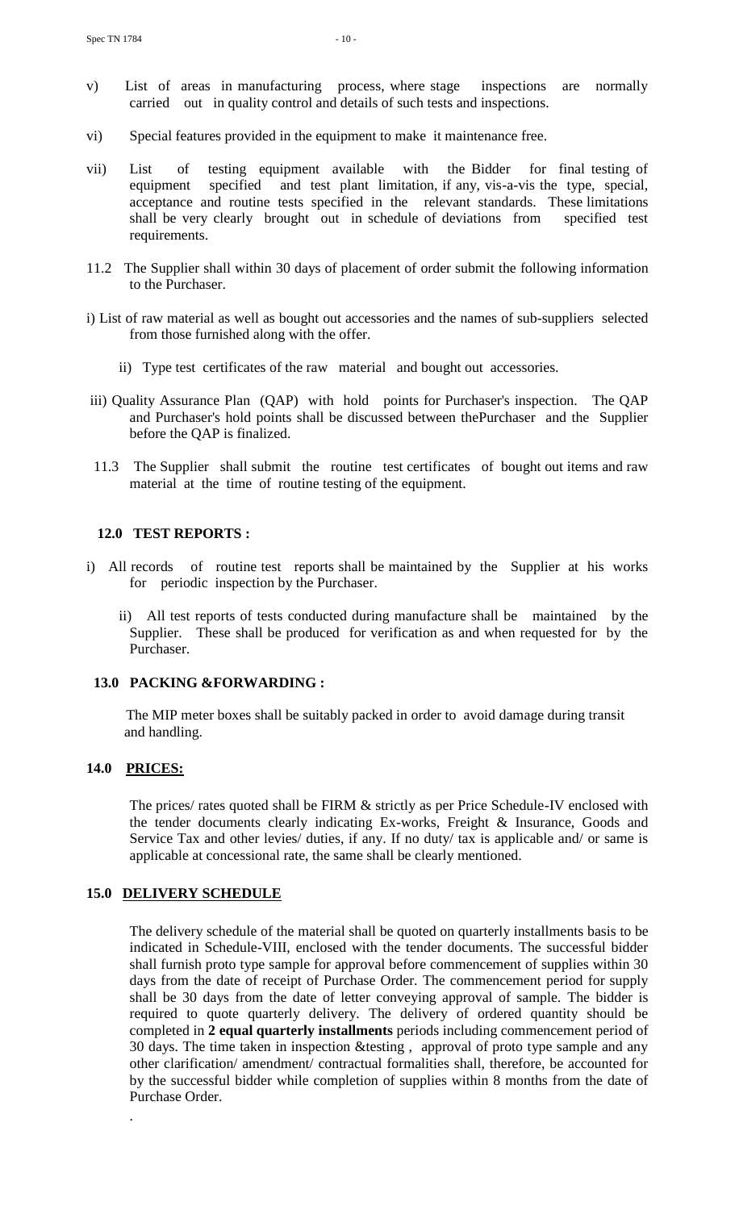- v) List of areas in manufacturing process, where stage inspections are normally carried out in quality control and details of such tests and inspections.
- vi) Special features provided in the equipment to make it maintenance free.
- vii) List of testing equipment available with the Bidder for final testing of equipment specified and test plant limitation, if any, vis-a-vis the type, special, acceptance and routine tests specified in the relevant standards. These limitations shall be very clearly brought out in schedule of deviations from specified test requirements.
- 11.2 The Supplier shall within 30 days of placement of order submit the following information to the Purchaser.
- i) List of raw material as well as bought out accessories and the names of sub-suppliers selected from those furnished along with the offer.
	- ii) Type test certificates of the raw material and bought out accessories.
- iii) Quality Assurance Plan (QAP) with hold points for Purchaser's inspection. The QAP and Purchaser's hold points shall be discussed between thePurchaser and the Supplier before the QAP is finalized.
- 11.3 The Supplier shall submit the routine test certificates of bought out items and raw material at the time of routine testing of the equipment.

# **12.0 TEST REPORTS :**

- i) All records of routine test reports shall be maintained by the Supplier at his works for periodic inspection by the Purchaser.
	- ii) All test reports of tests conducted during manufacture shall be maintained by the Supplier. These shall be produced for verification as and when requested for by the Purchaser.

# **13.0 PACKING &FORWARDING :**

 The MIP meter boxes shall be suitably packed in order to avoid damage during transit and handling.

# **14.0 PRICES:**

.

The prices/ rates quoted shall be FIRM & strictly as per Price Schedule-IV enclosed with the tender documents clearly indicating Ex-works, Freight & Insurance, Goods and Service Tax and other levies/ duties, if any. If no duty/ tax is applicable and/ or same is applicable at concessional rate, the same shall be clearly mentioned.

# **15.0 DELIVERY SCHEDULE**

The delivery schedule of the material shall be quoted on quarterly installments basis to be indicated in Schedule-VIII, enclosed with the tender documents. The successful bidder shall furnish proto type sample for approval before commencement of supplies within 30 days from the date of receipt of Purchase Order. The commencement period for supply shall be 30 days from the date of letter conveying approval of sample. The bidder is required to quote quarterly delivery. The delivery of ordered quantity should be completed in **2 equal quarterly installments** periods including commencement period of 30 days. The time taken in inspection &testing , approval of proto type sample and any other clarification/ amendment/ contractual formalities shall, therefore, be accounted for by the successful bidder while completion of supplies within 8 months from the date of Purchase Order.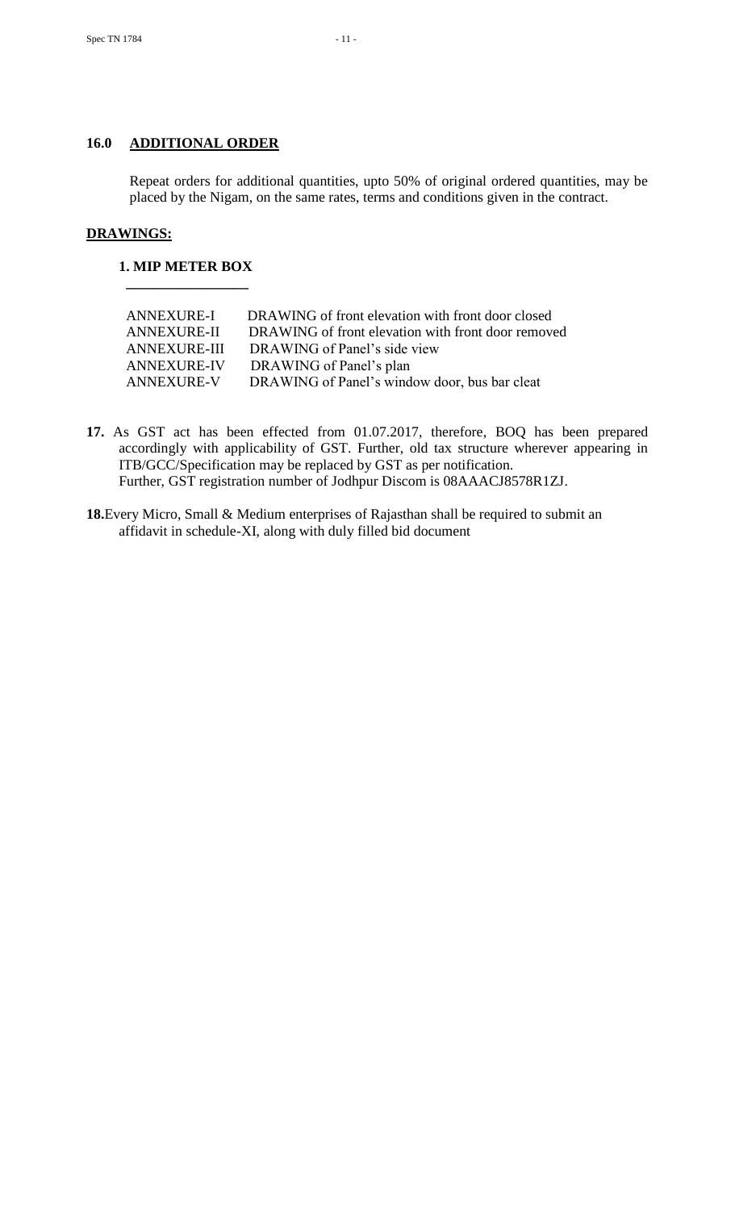# **16.0 ADDITIONAL ORDER**

Repeat orders for additional quantities, upto 50% of original ordered quantities, may be placed by the Nigam, on the same rates, terms and conditions given in the contract.

# **DRAWINGS:**

#### **1. MIP METER BOX**

 **\_\_\_\_\_\_\_\_\_\_\_\_\_\_\_\_\_**

| <b>ANNEXURE-I</b>   | DRAWING of front elevation with front door closed  |
|---------------------|----------------------------------------------------|
| <b>ANNEXURE-II</b>  | DRAWING of front elevation with front door removed |
| <b>ANNEXURE-III</b> | DRAWING of Panel's side view                       |
| <b>ANNEXURE-IV</b>  | DRAWING of Panel's plan                            |
| <b>ANNEXURE-V</b>   | DRAWING of Panel's window door, bus bar cleat      |
|                     |                                                    |

- **17.** As GST act has been effected from 01.07.2017, therefore, BOQ has been prepared accordingly with applicability of GST. Further, old tax structure wherever appearing in ITB/GCC/Specification may be replaced by GST as per notification. Further, GST registration number of Jodhpur Discom is 08AAACJ8578R1ZJ.
- **18.**Every Micro, Small & Medium enterprises of Rajasthan shall be required to submit an affidavit in schedule-XI, along with duly filled bid document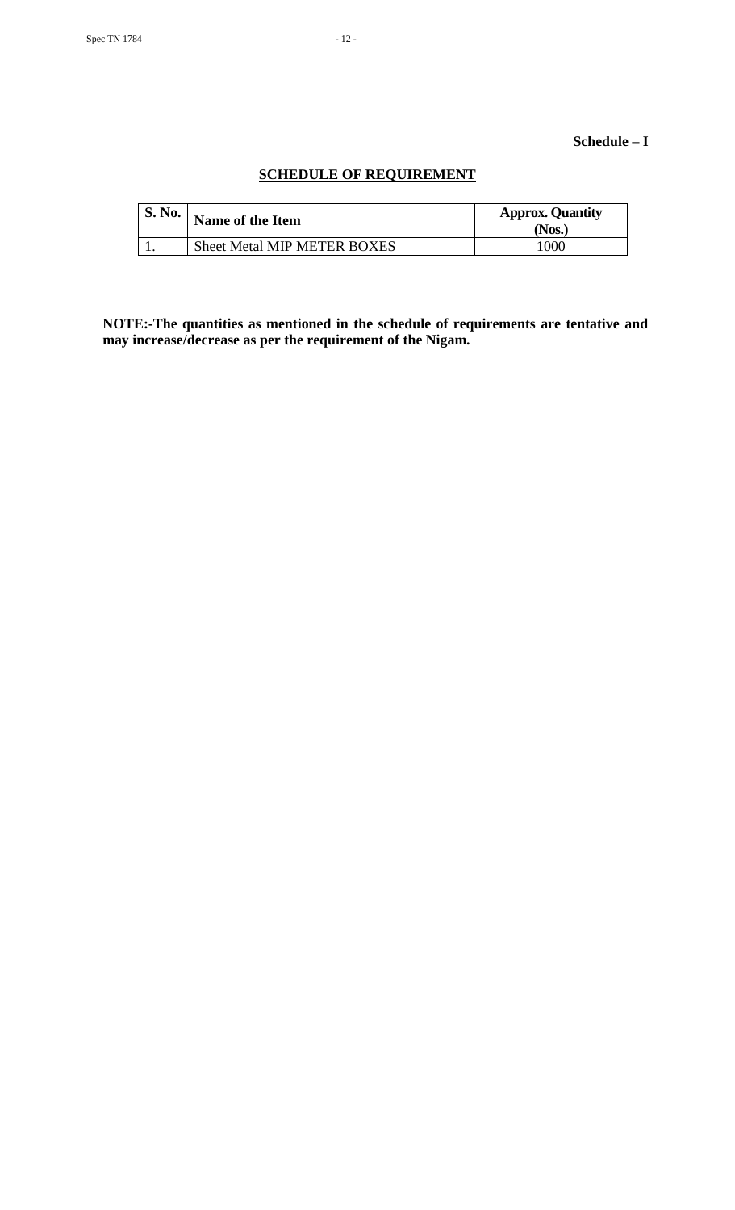# **Schedule – I**

# **SCHEDULE OF REQUIREMENT**

| S. No. | Name of the Item            | <b>Approx. Quantity</b><br>Nos.) |
|--------|-----------------------------|----------------------------------|
|        | Sheet Metal MIP METER BOXES | 1000                             |

**NOTE:-The quantities as mentioned in the schedule of requirements are tentative and may increase/decrease as per the requirement of the Nigam.**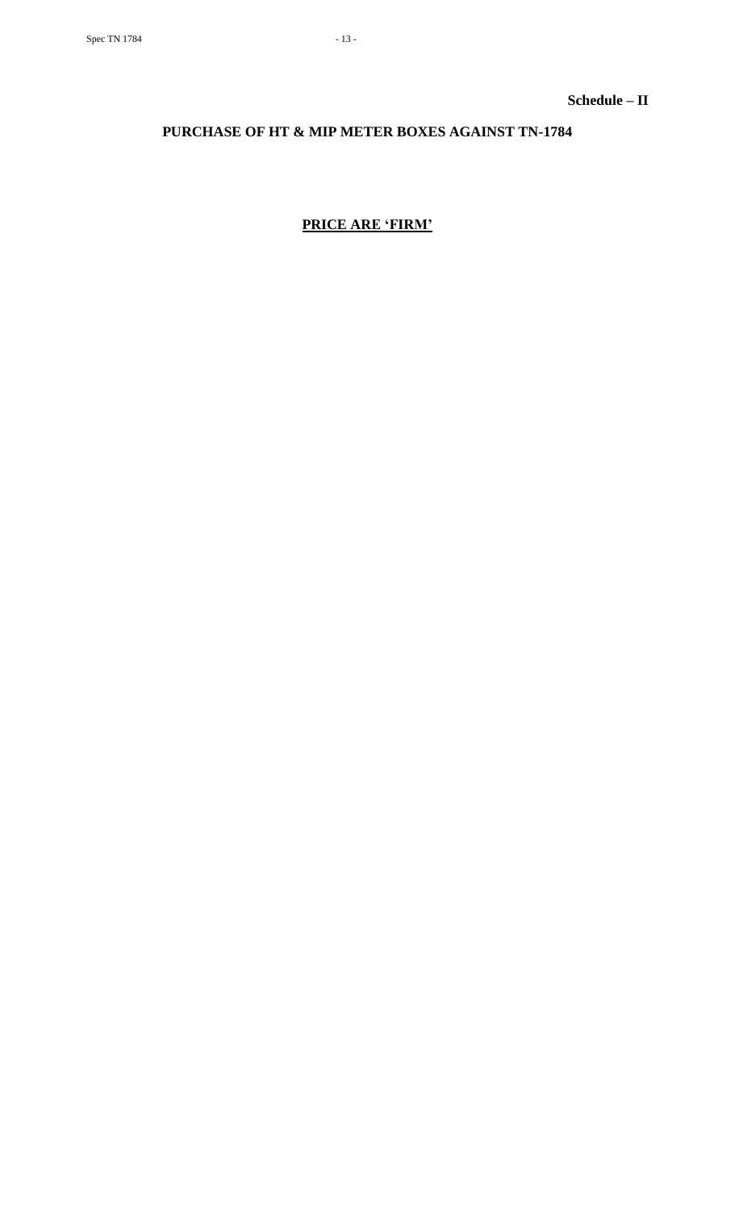**Schedule – II**

# **PURCHASE OF HT & MIP METER BOXES AGAINST TN-1784**

# **PRICE ARE 'FIRM'**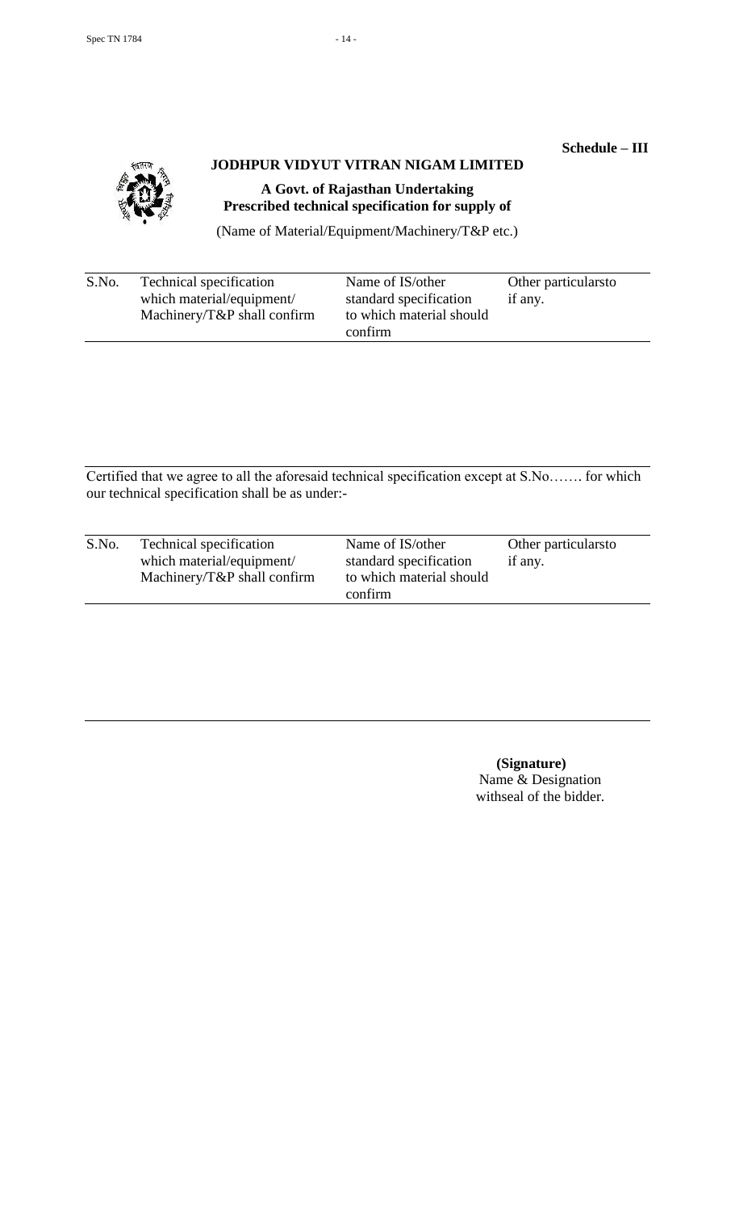# **Schedule – III**



# **JODHPUR VIDYUT VITRAN NIGAM LIMITED**

**A Govt. of Rajasthan Undertaking Prescribed technical specification for supply of** 

(Name of Material/Equipment/Machinery/T&P etc.)

| S.No.<br>Technical specification<br>which material/equipment/<br>Machinery/ $T\&P$ shall confirm | Name of IS/other<br>standard specification<br>to which material should<br>confirm | Other particulars to<br>if any. |
|--------------------------------------------------------------------------------------------------|-----------------------------------------------------------------------------------|---------------------------------|
|--------------------------------------------------------------------------------------------------|-----------------------------------------------------------------------------------|---------------------------------|

Certified that we agree to all the aforesaid technical specification except at S.No……. for which our technical specification shall be as under:-

| S.No. | Technical specification         | Name of IS/other         | Other particularsto |
|-------|---------------------------------|--------------------------|---------------------|
|       | which material/equipment/       | standard specification   | if any.             |
|       | Machinery/ $T\&P$ shall confirm | to which material should |                     |
|       |                                 | confirm                  |                     |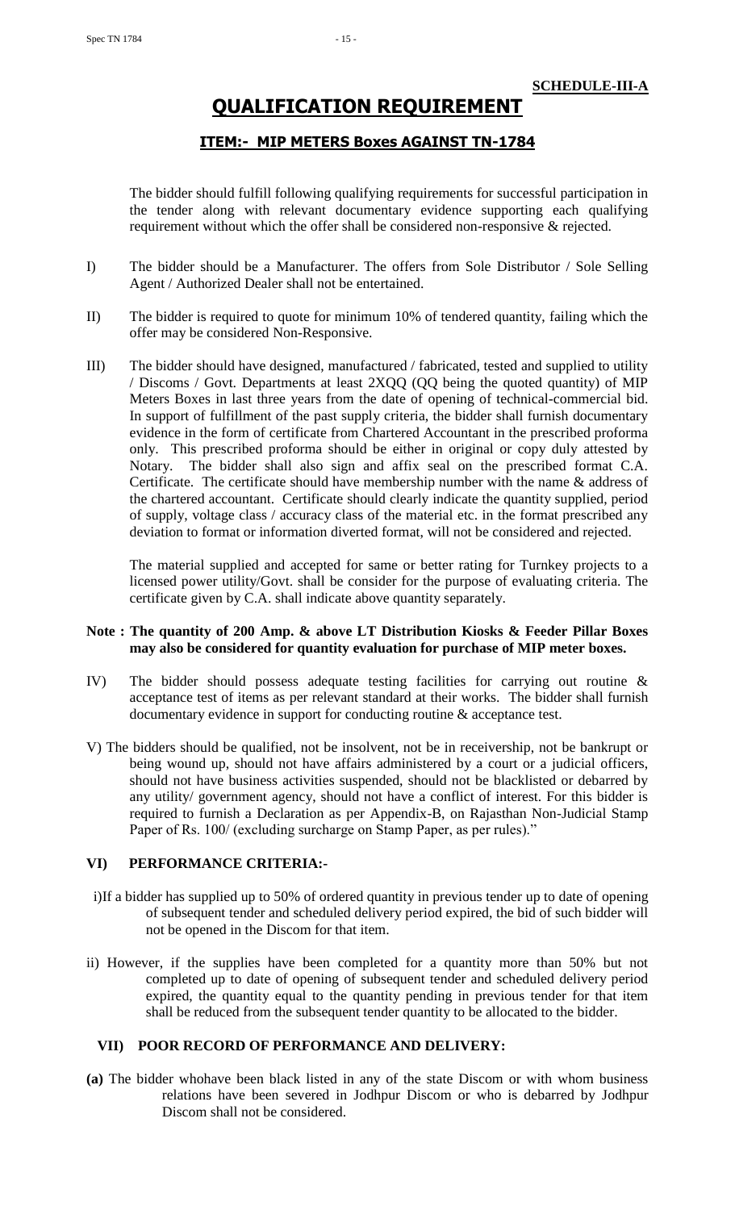# **QUALIFICATION REQUIREMENT**

# **ITEM:- MIP METERS Boxes AGAINST TN-1784**

The bidder should fulfill following qualifying requirements for successful participation in the tender along with relevant documentary evidence supporting each qualifying requirement without which the offer shall be considered non-responsive & rejected.

- I) The bidder should be a Manufacturer. The offers from Sole Distributor / Sole Selling Agent / Authorized Dealer shall not be entertained.
- II) The bidder is required to quote for minimum 10% of tendered quantity, failing which the offer may be considered Non-Responsive.
- III) The bidder should have designed, manufactured / fabricated, tested and supplied to utility / Discoms / Govt. Departments at least 2XQQ (QQ being the quoted quantity) of MIP Meters Boxes in last three years from the date of opening of technical-commercial bid. In support of fulfillment of the past supply criteria, the bidder shall furnish documentary evidence in the form of certificate from Chartered Accountant in the prescribed proforma only. This prescribed proforma should be either in original or copy duly attested by Notary. The bidder shall also sign and affix seal on the prescribed format C.A. Certificate. The certificate should have membership number with the name & address of the chartered accountant. Certificate should clearly indicate the quantity supplied, period of supply, voltage class / accuracy class of the material etc. in the format prescribed any deviation to format or information diverted format, will not be considered and rejected.

The material supplied and accepted for same or better rating for Turnkey projects to a licensed power utility/Govt. shall be consider for the purpose of evaluating criteria. The certificate given by C.A. shall indicate above quantity separately.

### **Note : The quantity of 200 Amp. & above LT Distribution Kiosks & Feeder Pillar Boxes may also be considered for quantity evaluation for purchase of MIP meter boxes.**

- IV) The bidder should possess adequate testing facilities for carrying out routine & acceptance test of items as per relevant standard at their works. The bidder shall furnish documentary evidence in support for conducting routine & acceptance test.
- V) The bidders should be qualified, not be insolvent, not be in receivership, not be bankrupt or being wound up, should not have affairs administered by a court or a judicial officers, should not have business activities suspended, should not be blacklisted or debarred by any utility/ government agency, should not have a conflict of interest. For this bidder is required to furnish a Declaration as per Appendix-B, on Rajasthan Non-Judicial Stamp Paper of Rs. 100/ (excluding surcharge on Stamp Paper, as per rules)."

# **VI) PERFORMANCE CRITERIA:-**

- i)If a bidder has supplied up to 50% of ordered quantity in previous tender up to date of opening of subsequent tender and scheduled delivery period expired, the bid of such bidder will not be opened in the Discom for that item.
- ii) However, if the supplies have been completed for a quantity more than 50% but not completed up to date of opening of subsequent tender and scheduled delivery period expired, the quantity equal to the quantity pending in previous tender for that item shall be reduced from the subsequent tender quantity to be allocated to the bidder.

# **VII) POOR RECORD OF PERFORMANCE AND DELIVERY:**

**(a)** The bidder whohave been black listed in any of the state Discom or with whom business relations have been severed in Jodhpur Discom or who is debarred by Jodhpur Discom shall not be considered.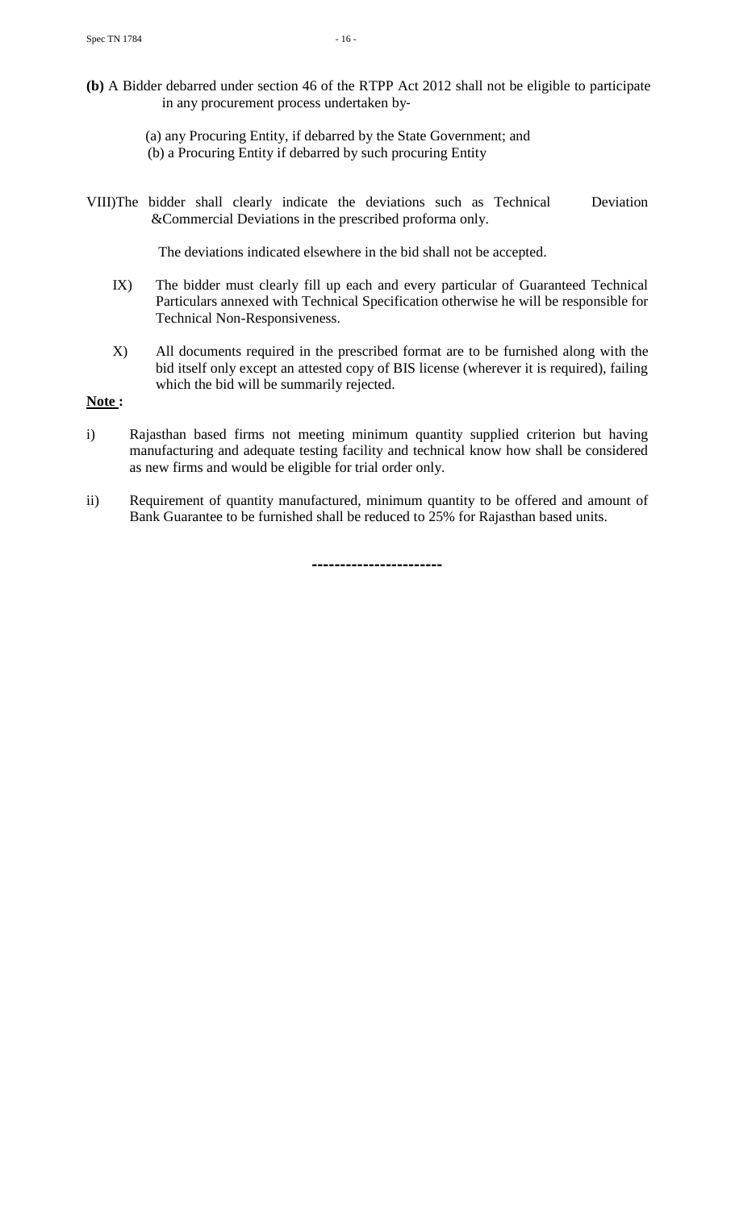- **(b)** A Bidder debarred under section 46 of the RTPP Act 2012 shall not be eligible to participate in any procurement process undertaken by‐
	- (a) any Procuring Entity, if debarred by the State Government; and (b) a Procuring Entity if debarred by such procuring Entity
- VIII)The bidder shall clearly indicate the deviations such as Technical Deviation &Commercial Deviations in the prescribed proforma only.

The deviations indicated elsewhere in the bid shall not be accepted.

- IX) The bidder must clearly fill up each and every particular of Guaranteed Technical Particulars annexed with Technical Specification otherwise he will be responsible for Technical Non-Responsiveness.
- X) All documents required in the prescribed format are to be furnished along with the bid itself only except an attested copy of BIS license (wherever it is required), failing which the bid will be summarily rejected.

**Note :**

- i) Rajasthan based firms not meeting minimum quantity supplied criterion but having manufacturing and adequate testing facility and technical know how shall be considered as new firms and would be eligible for trial order only.
- ii) Requirement of quantity manufactured, minimum quantity to be offered and amount of Bank Guarantee to be furnished shall be reduced to 25% for Rajasthan based units.

 **-----------------------**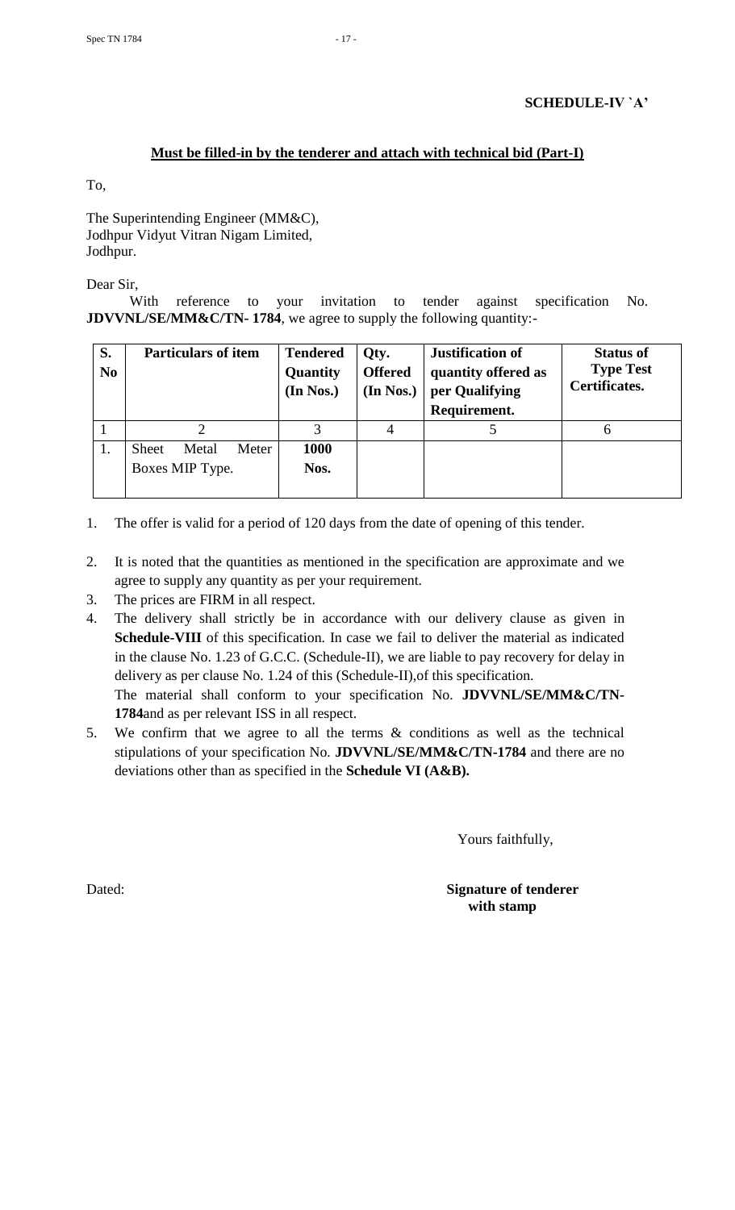# **Must be filled-in by the tenderer and attach with technical bid (Part-I)**

To,

The Superintending Engineer (MM&C), Jodhpur Vidyut Vitran Nigam Limited, Jodhpur.

Dear Sir,

With reference to your invitation to tender against specification No. **JDVVNL/SE/MM&C/TN- 1784**, we agree to supply the following quantity:-

| S.<br>N <sub>0</sub> | <b>Particulars of item</b>     | <b>Tendered</b><br>Quantity<br>(In Nos.) | Qty.<br><b>Offered</b><br>(In Nos.) | <b>Justification of</b><br>quantity offered as<br>per Qualifying<br>Requirement. | <b>Status of</b><br><b>Type Test</b><br>Certificates. |
|----------------------|--------------------------------|------------------------------------------|-------------------------------------|----------------------------------------------------------------------------------|-------------------------------------------------------|
|                      |                                |                                          | 4                                   |                                                                                  |                                                       |
| 1.                   | Meter<br><b>Sheet</b><br>Metal | 1000                                     |                                     |                                                                                  |                                                       |
|                      | Boxes MIP Type.                | Nos.                                     |                                     |                                                                                  |                                                       |
|                      |                                |                                          |                                     |                                                                                  |                                                       |

- 1. The offer is valid for a period of 120 days from the date of opening of this tender.
- 2. It is noted that the quantities as mentioned in the specification are approximate and we agree to supply any quantity as per your requirement.
- 3. The prices are FIRM in all respect.
- 4. The delivery shall strictly be in accordance with our delivery clause as given in Schedule-VIII of this specification. In case we fail to deliver the material as indicated in the clause No. 1.23 of G.C.C. (Schedule-II), we are liable to pay recovery for delay in delivery as per clause No. 1.24 of this (Schedule-II),of this specification. The material shall conform to your specification No. **JDVVNL/SE/MM&C/TN-1784**and as per relevant ISS in all respect.
- 5. We confirm that we agree to all the terms & conditions as well as the technical stipulations of your specification No. **JDVVNL/SE/MM&C/TN-1784** and there are no deviations other than as specified in the **Schedule VI (A&B).**

Yours faithfully,

Dated: **Signature of tenderer with stamp**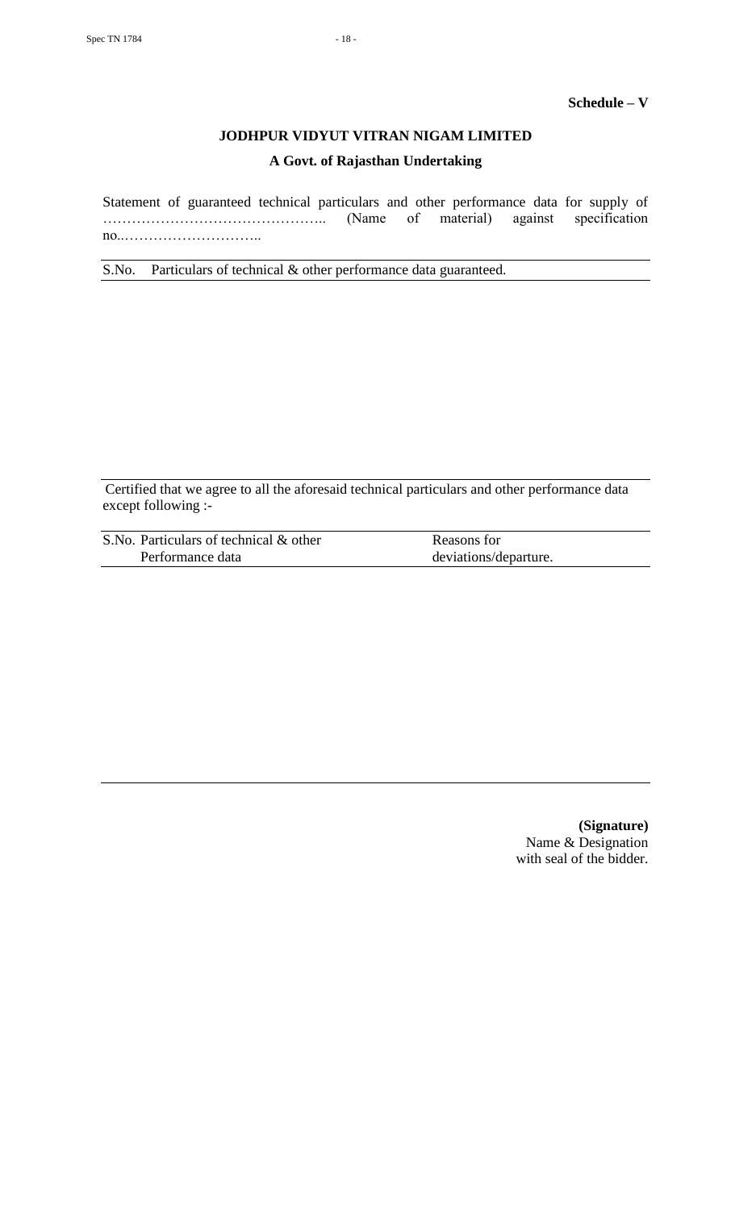# **JODHPUR VIDYUT VITRAN NIGAM LIMITED**

# **A Govt. of Rajasthan Undertaking**

Statement of guaranteed technical particulars and other performance data for supply of ……………………………………….. (Name of material) against specification no..………………………..

S.No. Particulars of technical & other performance data guaranteed.

Certified that we agree to all the aforesaid technical particulars and other performance data except following :-

| S.No. Particulars of technical & other | Reasons for           |
|----------------------------------------|-----------------------|
| Performance data                       | deviations/departure. |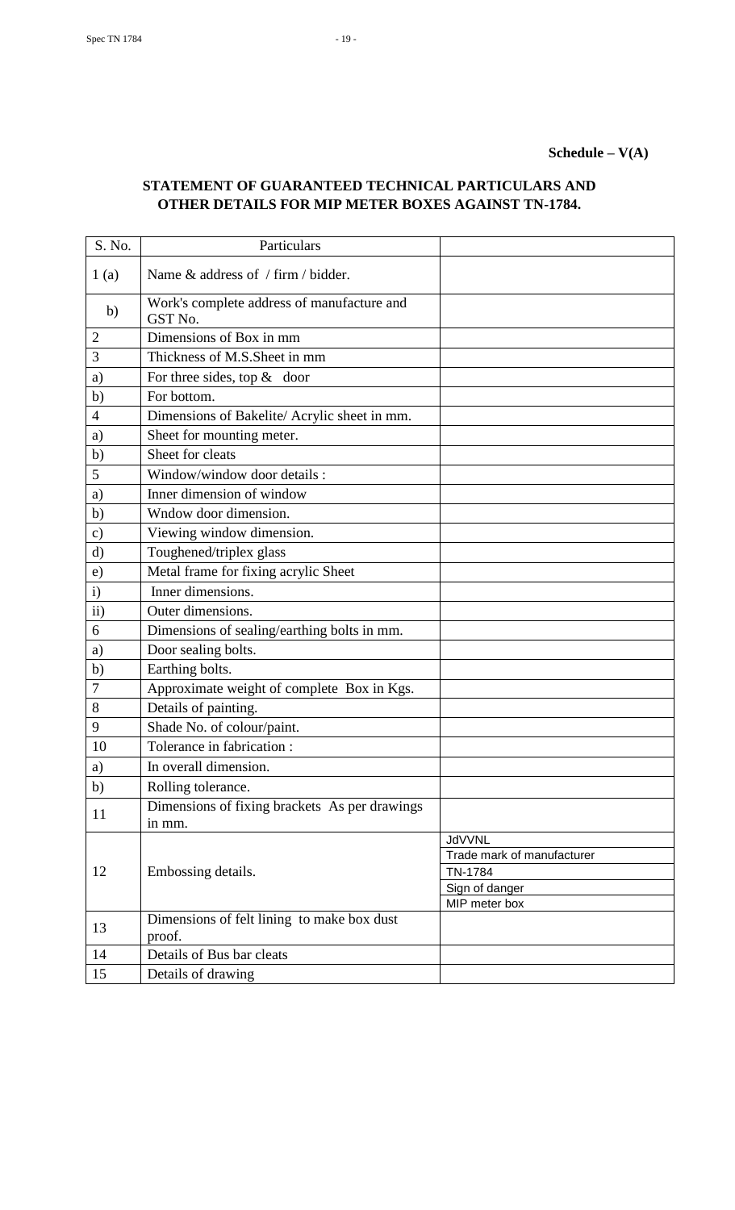| S. No.        | Particulars                                             |                                 |
|---------------|---------------------------------------------------------|---------------------------------|
| 1(a)          | Name & address of / firm / bidder.                      |                                 |
| b)            | Work's complete address of manufacture and<br>GST No.   |                                 |
| 2             | Dimensions of Box in mm                                 |                                 |
| 3             | Thickness of M.S.Sheet in mm                            |                                 |
| a)            | For three sides, top $&$ door                           |                                 |
| b)            | For bottom.                                             |                                 |
| 4             | Dimensions of Bakelite/ Acrylic sheet in mm.            |                                 |
| a)            | Sheet for mounting meter.                               |                                 |
| b)            | Sheet for cleats                                        |                                 |
| 5             | Window/window door details :                            |                                 |
| a)            | Inner dimension of window                               |                                 |
| b)            | Wndow door dimension.                                   |                                 |
| $\mathbf{c})$ | Viewing window dimension.                               |                                 |
| d)            | Toughened/triplex glass                                 |                                 |
| $\epsilon$ )  | Metal frame for fixing acrylic Sheet                    |                                 |
| $\mathbf{i}$  | Inner dimensions.                                       |                                 |
| $\rm ii)$     | Outer dimensions.                                       |                                 |
| 6             | Dimensions of sealing/earthing bolts in mm.             |                                 |
| a)            | Door sealing bolts.                                     |                                 |
| $\mathbf{b}$  | Earthing bolts.                                         |                                 |
| 7             | Approximate weight of complete Box in Kgs.              |                                 |
| 8             | Details of painting.                                    |                                 |
| 9             | Shade No. of colour/paint.                              |                                 |
| 10            | Tolerance in fabrication :                              |                                 |
| a)            | In overall dimension.                                   |                                 |
| b)            | Rolling tolerance.                                      |                                 |
| 11            | Dimensions of fixing brackets As per drawings<br>in mm. |                                 |
|               |                                                         | <b>JdVVNL</b>                   |
|               |                                                         | Trade mark of manufacturer      |
| 12            | Embossing details.                                      | TN-1784                         |
|               |                                                         | Sign of danger<br>MIP meter box |
| 13            | Dimensions of felt lining to make box dust<br>proof.    |                                 |
| 14            | Details of Bus bar cleats                               |                                 |
| 15            | Details of drawing                                      |                                 |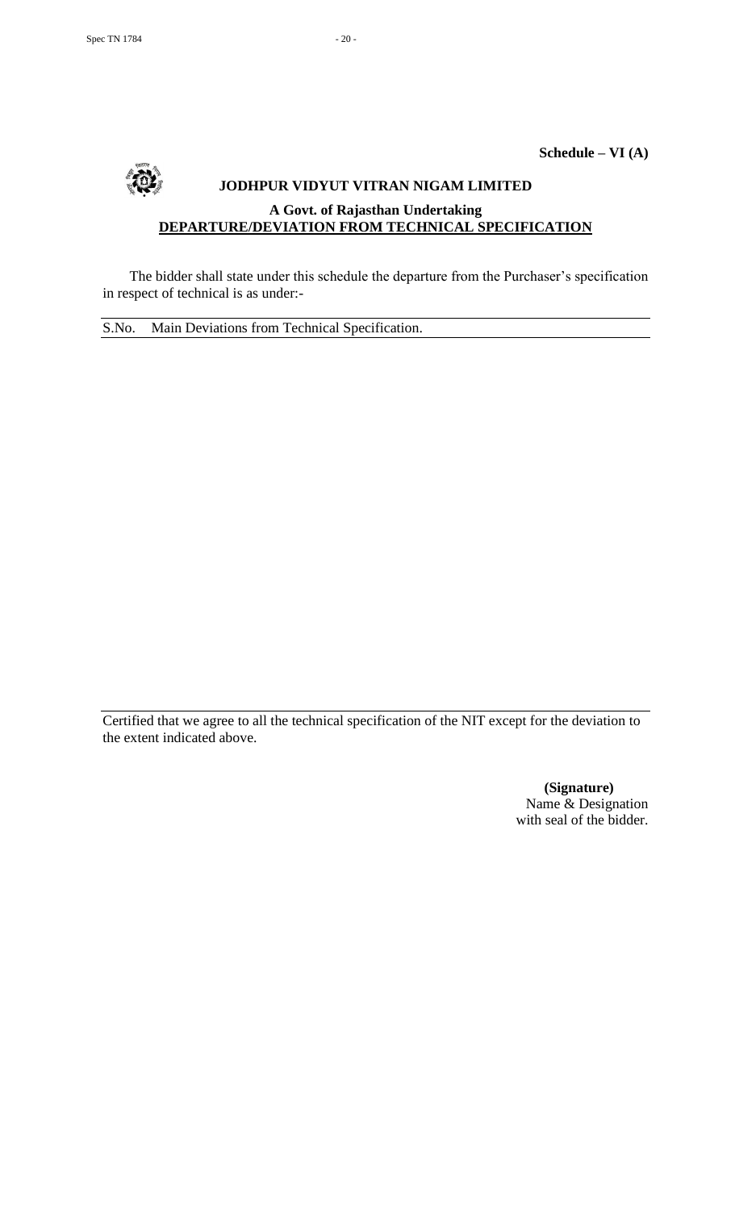**Schedule – VI (A)**

# **JODHPUR VIDYUT VITRAN NIGAM LIMITED A Govt. of Rajasthan Undertaking DEPARTURE/DEVIATION FROM TECHNICAL SPECIFICATION**

The bidder shall state under this schedule the departure from the Purchaser's specification in respect of technical is as under:-

S.No. Main Deviations from Technical Specification.

Certified that we agree to all the technical specification of the NIT except for the deviation to the extent indicated above.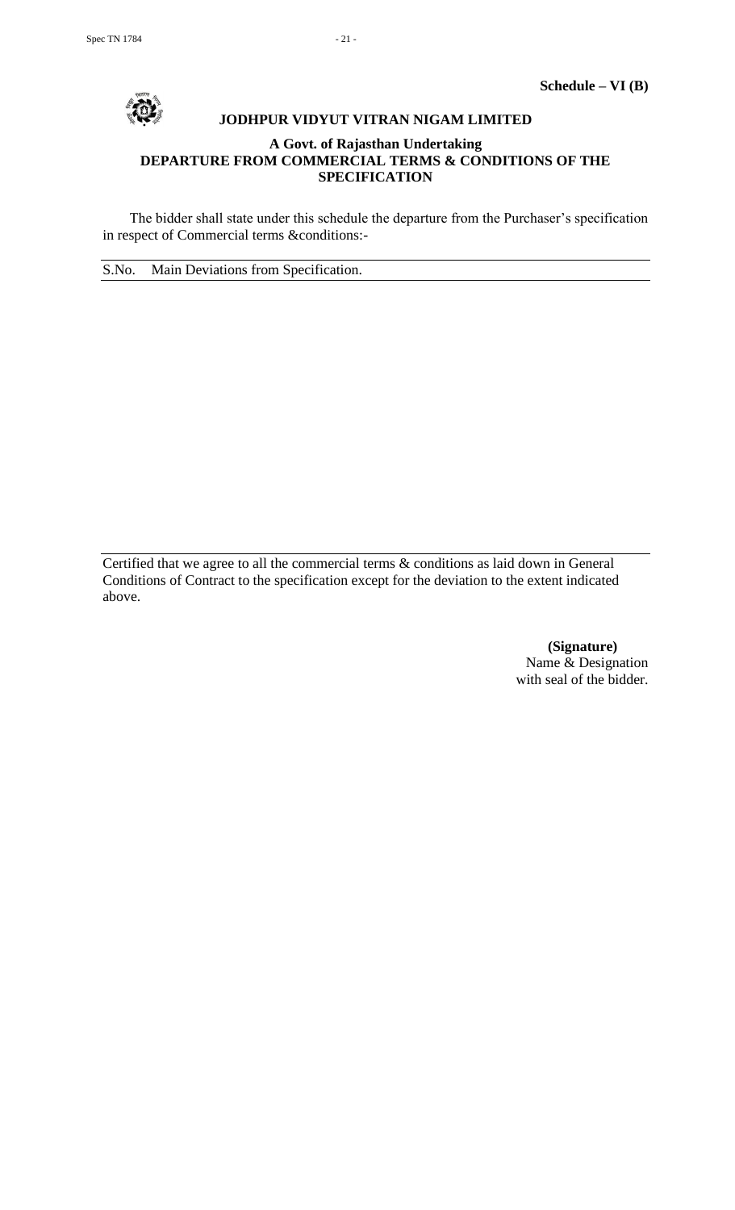

# **JODHPUR VIDYUT VITRAN NIGAM LIMITED**

# **A Govt. of Rajasthan Undertaking DEPARTURE FROM COMMERCIAL TERMS & CONDITIONS OF THE SPECIFICATION**

The bidder shall state under this schedule the departure from the Purchaser's specification in respect of Commercial terms &conditions:-

S.No. Main Deviations from Specification.

Certified that we agree to all the commercial terms & conditions as laid down in General Conditions of Contract to the specification except for the deviation to the extent indicated above.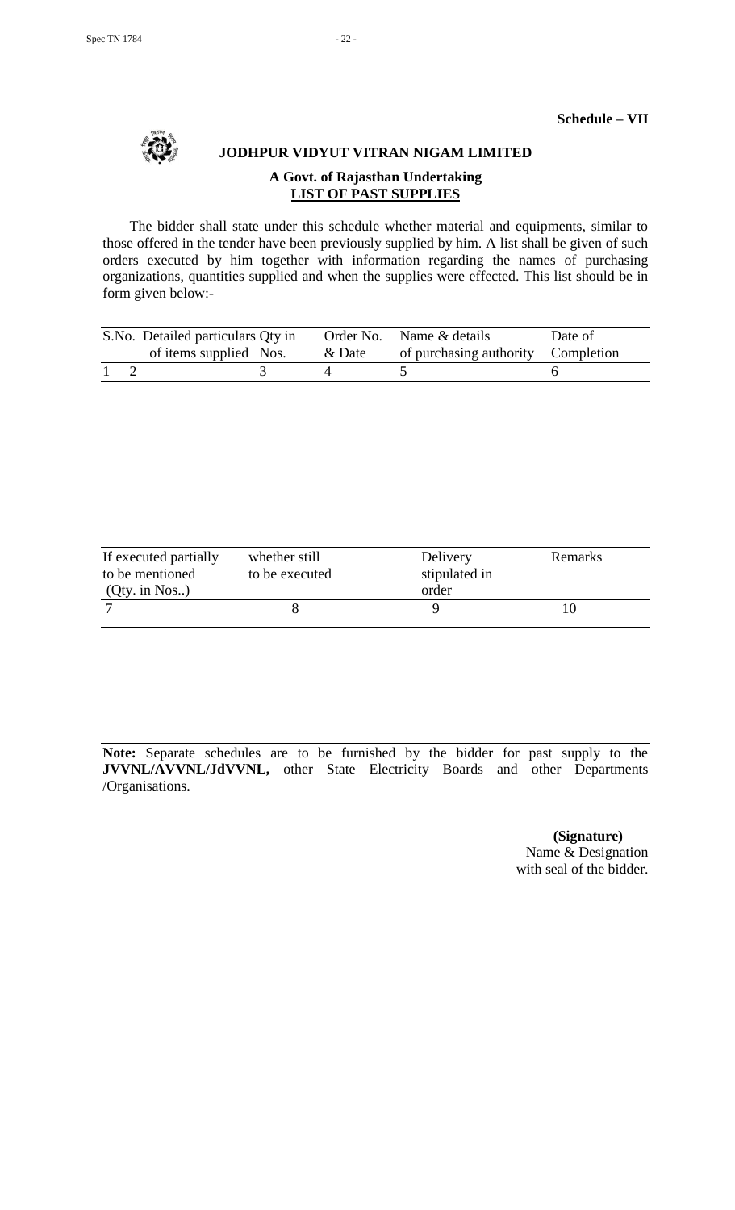

# **JODHPUR VIDYUT VITRAN NIGAM LIMITED A Govt. of Rajasthan Undertaking LIST OF PAST SUPPLIES**

The bidder shall state under this schedule whether material and equipments, similar to those offered in the tender have been previously supplied by him. A list shall be given of such orders executed by him together with information regarding the names of purchasing organizations, quantities supplied and when the supplies were effected. This list should be in form given below:-

|  | S. No. Detailed particulars Qty in |        | Order No. Name & details           | Date of |
|--|------------------------------------|--------|------------------------------------|---------|
|  | of items supplied Nos.             | & Date | of purchasing authority Completion |         |
|  |                                    |        |                                    |         |

| If executed partially | whether still  | Delivery      | Remarks |
|-----------------------|----------------|---------------|---------|
| to be mentioned       | to be executed | stipulated in |         |
| $(Qty.$ in Nos)       |                | order         |         |
|                       |                |               | I ()    |

**Note:** Separate schedules are to be furnished by the bidder for past supply to the **JVVNL/AVVNL/JdVVNL,** other State Electricity Boards and other Departments /Organisations.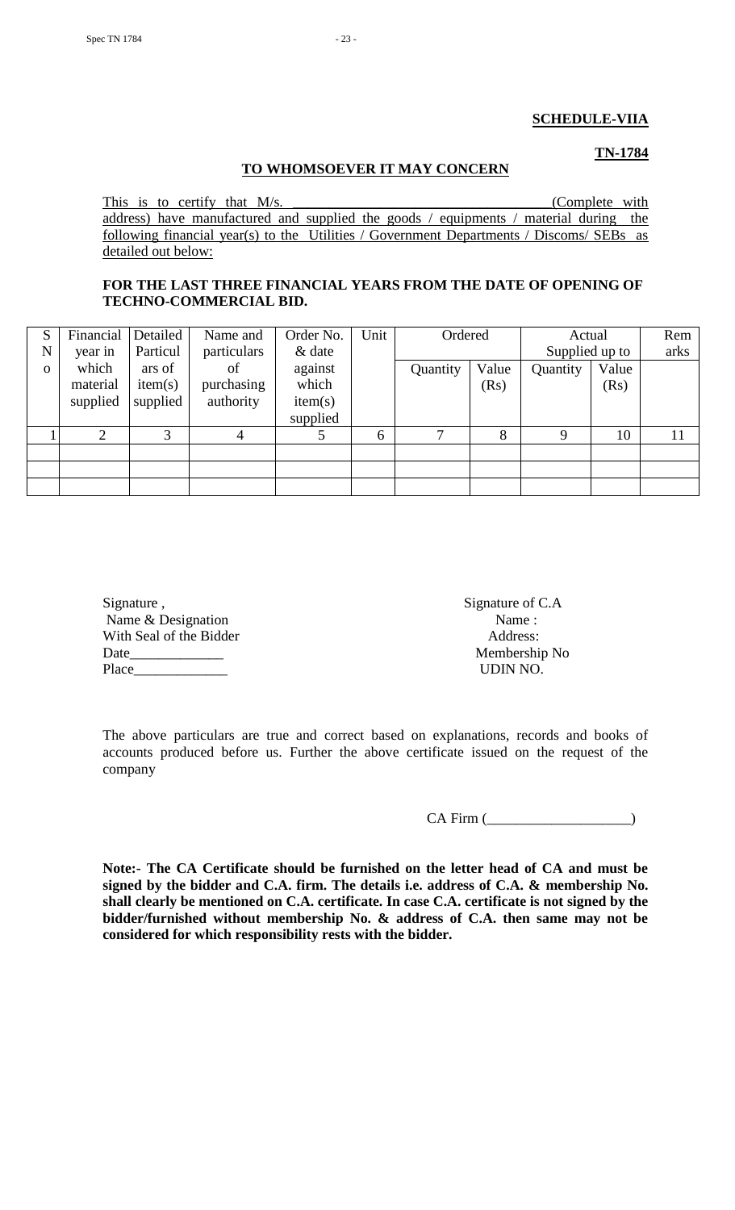#### **SCHEDULE-VIIA**

**TN-1784**

# **TO WHOMSOEVER IT MAY CONCERN**

This is to certify that M/s. \_\_\_\_\_\_\_\_\_\_\_\_\_\_\_\_\_\_\_\_\_\_\_\_\_\_\_\_\_\_\_\_\_\_\_(Complete with address) have manufactured and supplied the goods / equipments / material during the following financial year(s) to the Utilities / Government Departments / Discoms/ SEBs as detailed out below:

# **FOR THE LAST THREE FINANCIAL YEARS FROM THE DATE OF OPENING OF TECHNO-COMMERCIAL BID.**

| S        | Financial      | Detailed | Name and    | Order No. | Unit | Ordered  |       | Actual         |       | Rem  |
|----------|----------------|----------|-------------|-----------|------|----------|-------|----------------|-------|------|
| N        | year in        | Particul | particulars | & date    |      |          |       | Supplied up to |       | arks |
| $\Omega$ | which          | ars of   | οf          | against   |      | Quantity | Value | Quantity       | Value |      |
|          | material       | item(s)  | purchasing  | which     |      |          | (Rs)  |                | (Rs)  |      |
|          | supplied       | supplied | authority   | item(s)   |      |          |       |                |       |      |
|          |                |          |             | supplied  |      |          |       |                |       |      |
|          | $\overline{2}$ | 3        | 4           |           | 6    |          | 8     | 9              | 10    | 11   |
|          |                |          |             |           |      |          |       |                |       |      |
|          |                |          |             |           |      |          |       |                |       |      |
|          |                |          |             |           |      |          |       |                |       |      |

| Signature,              | Signature of   |
|-------------------------|----------------|
| Name & Designation      | Name:          |
| With Seal of the Bidder | Address:       |
| Date                    | Membersh       |
| Place                   | <b>UDIN NC</b> |
|                         |                |

Signature of C.A. Address: Membership No UDIN NO.

The above particulars are true and correct based on explanations, records and books of accounts produced before us. Further the above certificate issued on the request of the company

CA Firm (\_\_\_\_\_\_\_\_\_\_\_\_\_\_\_\_\_\_\_\_)

**Note:- The CA Certificate should be furnished on the letter head of CA and must be signed by the bidder and C.A. firm. The details i.e. address of C.A. & membership No. shall clearly be mentioned on C.A. certificate. In case C.A. certificate is not signed by the bidder/furnished without membership No. & address of C.A. then same may not be considered for which responsibility rests with the bidder.**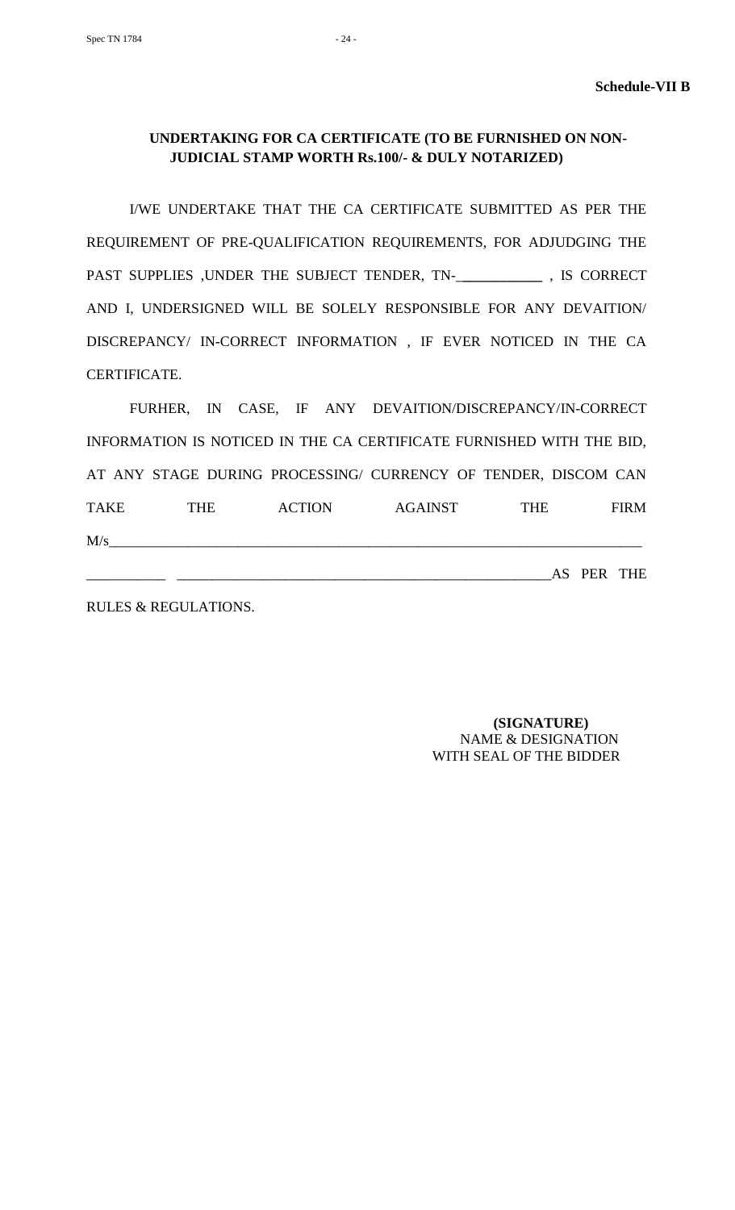# **UNDERTAKING FOR CA CERTIFICATE (TO BE FURNISHED ON NON-JUDICIAL STAMP WORTH Rs.100/- & DULY NOTARIZED)**

I/WE UNDERTAKE THAT THE CA CERTIFICATE SUBMITTED AS PER THE REQUIREMENT OF PRE-QUALIFICATION REQUIREMENTS, FOR ADJUDGING THE PAST SUPPLIES ,UNDER THE SUBJECT TENDER, TN-\_**\_\_\_\_\_\_\_\_\_\_\_** , IS CORRECT AND I, UNDERSIGNED WILL BE SOLELY RESPONSIBLE FOR ANY DEVAITION/ DISCREPANCY/ IN-CORRECT INFORMATION , IF EVER NOTICED IN THE CA CERTIFICATE.

FURHER, IN CASE, IF ANY DEVAITION/DISCREPANCY/IN-CORRECT INFORMATION IS NOTICED IN THE CA CERTIFICATE FURNISHED WITH THE BID, AT ANY STAGE DURING PROCESSING/ CURRENCY OF TENDER, DISCOM CAN TAKE THE ACTION AGAINST THE FIRM  $M/s$ 

RULES & REGULATIONS.

 **(SIGNATURE)** NAME & DESIGNATION WITH SEAL OF THE BIDDER

\_\_\_\_\_\_\_\_\_\_\_ \_\_\_\_\_\_\_\_\_\_\_\_\_\_\_\_\_\_\_\_\_\_\_\_\_\_\_\_\_\_\_\_\_\_\_\_\_\_\_\_\_\_\_\_\_\_\_\_\_\_\_\_AS PER THE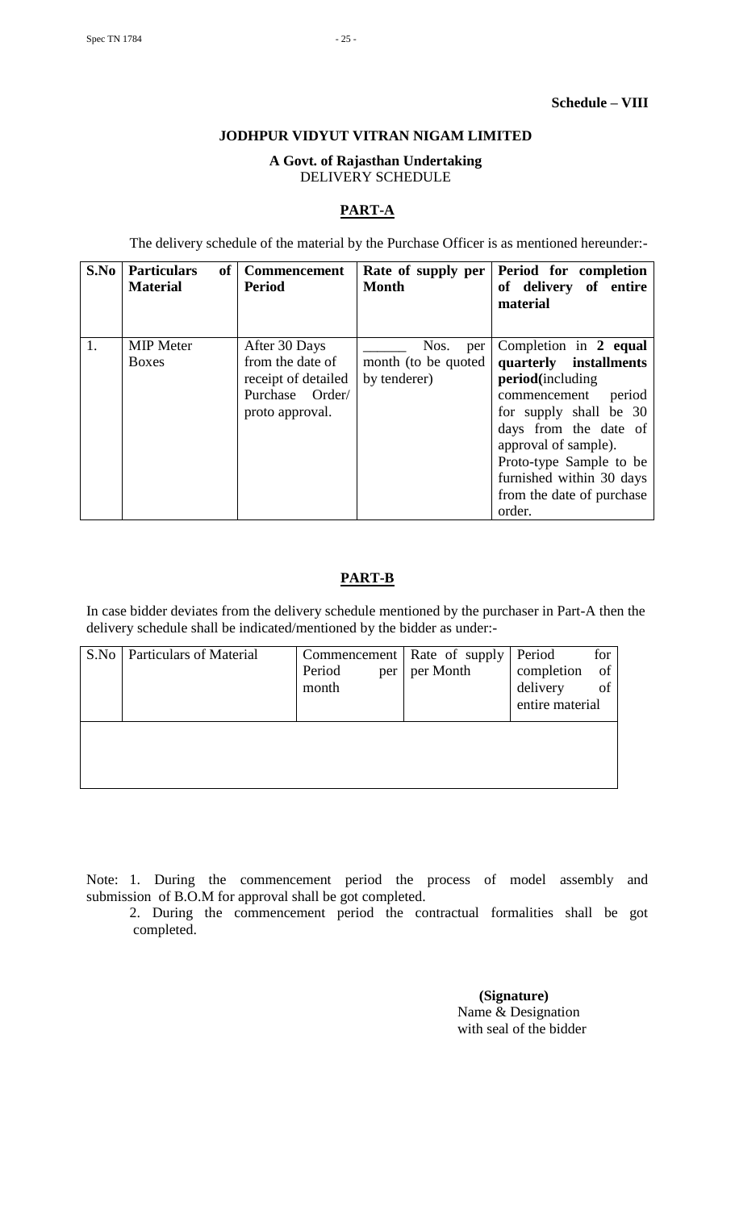# **JODHPUR VIDYUT VITRAN NIGAM LIMITED**

# **A Govt. of Rajasthan Undertaking** DELIVERY SCHEDULE

# **PART-A**

The delivery schedule of the material by the Purchase Officer is as mentioned hereunder:-

| S.No | <b>Particulars</b><br><b>of</b><br><b>Material</b> | <b>Commencement</b><br><b>Period</b>                                                           | Rate of supply per<br><b>Month</b>                 | Period for completion<br>of delivery of entire<br>material                                                                                                                                                                                                             |
|------|----------------------------------------------------|------------------------------------------------------------------------------------------------|----------------------------------------------------|------------------------------------------------------------------------------------------------------------------------------------------------------------------------------------------------------------------------------------------------------------------------|
| 1.   | <b>MIP</b> Meter<br><b>Boxes</b>                   | After 30 Days<br>from the date of<br>receipt of detailed<br>Purchase Order/<br>proto approval. | Nos.<br>per<br>month (to be quoted<br>by tenderer) | Completion in 2 equal<br>quarterly installments<br>period(including<br>period<br>commencement<br>for supply shall be 30<br>days from the date of<br>approval of sample).<br>Proto-type Sample to be<br>furnished within 30 days<br>from the date of purchase<br>order. |

# **PART-B**

In case bidder deviates from the delivery schedule mentioned by the purchaser in Part-A then the delivery schedule shall be indicated/mentioned by the bidder as under:-

| S.No | <b>Particulars of Material</b> |               | Commencement   Rate of supply | Period          | for  |
|------|--------------------------------|---------------|-------------------------------|-----------------|------|
|      |                                | Period<br>per | per Month                     | completion      | - of |
|      |                                | month         |                               | delivery        | of   |
|      |                                |               |                               | entire material |      |
|      |                                |               |                               |                 |      |
|      |                                |               |                               |                 |      |
|      |                                |               |                               |                 |      |
|      |                                |               |                               |                 |      |
|      |                                |               |                               |                 |      |

Note: 1. During the commencement period the process of model assembly and submission of B.O.M for approval shall be got completed.

2. During the commencement period the contractual formalities shall be got completed.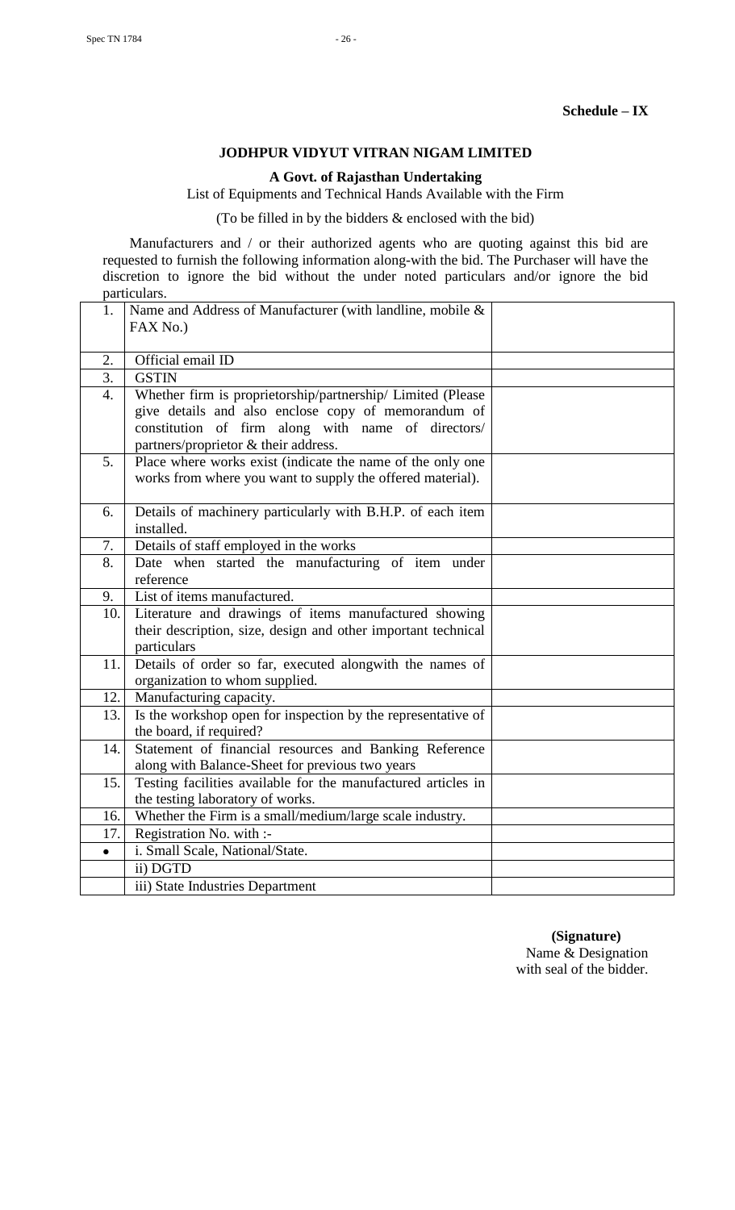# **JODHPUR VIDYUT VITRAN NIGAM LIMITED**

**A Govt. of Rajasthan Undertaking**

List of Equipments and Technical Hands Available with the Firm

(To be filled in by the bidders & enclosed with the bid)

Manufacturers and / or their authorized agents who are quoting against this bid are requested to furnish the following information along-with the bid. The Purchaser will have the discretion to ignore the bid without the under noted particulars and/or ignore the bid particulars.

| 1.        | Name and Address of Manufacturer (with landline, mobile &     |  |
|-----------|---------------------------------------------------------------|--|
|           | FAX No.)                                                      |  |
|           |                                                               |  |
| 2.        | Official email ID                                             |  |
| 3.        | <b>GSTIN</b>                                                  |  |
| 4.        | Whether firm is proprietorship/partnership/ Limited (Please   |  |
|           | give details and also enclose copy of memorandum of           |  |
|           | constitution of firm along with name of directors/            |  |
|           | partners/proprietor & their address.                          |  |
| 5.        | Place where works exist (indicate the name of the only one    |  |
|           | works from where you want to supply the offered material).    |  |
|           |                                                               |  |
| 6.        | Details of machinery particularly with B.H.P. of each item    |  |
|           | installed.                                                    |  |
| 7.        | Details of staff employed in the works                        |  |
| 8.        | Date when started the manufacturing of item under             |  |
|           | reference                                                     |  |
| 9.        | List of items manufactured.                                   |  |
| 10.       | Literature and drawings of items manufactured showing         |  |
|           | their description, size, design and other important technical |  |
|           | particulars                                                   |  |
| 11.       | Details of order so far, executed alongwith the names of      |  |
|           | organization to whom supplied.                                |  |
| 12.       | Manufacturing capacity.                                       |  |
| 13.       | Is the workshop open for inspection by the representative of  |  |
|           | the board, if required?                                       |  |
| 14.       | Statement of financial resources and Banking Reference        |  |
|           | along with Balance-Sheet for previous two years               |  |
| 15.       | Testing facilities available for the manufactured articles in |  |
|           | the testing laboratory of works.                              |  |
| 16.       | Whether the Firm is a small/medium/large scale industry.      |  |
| 17.       | Registration No. with :-                                      |  |
| $\bullet$ | i. Small Scale, National/State.                               |  |
|           | ii) DGTD                                                      |  |
|           | iii) State Industries Department                              |  |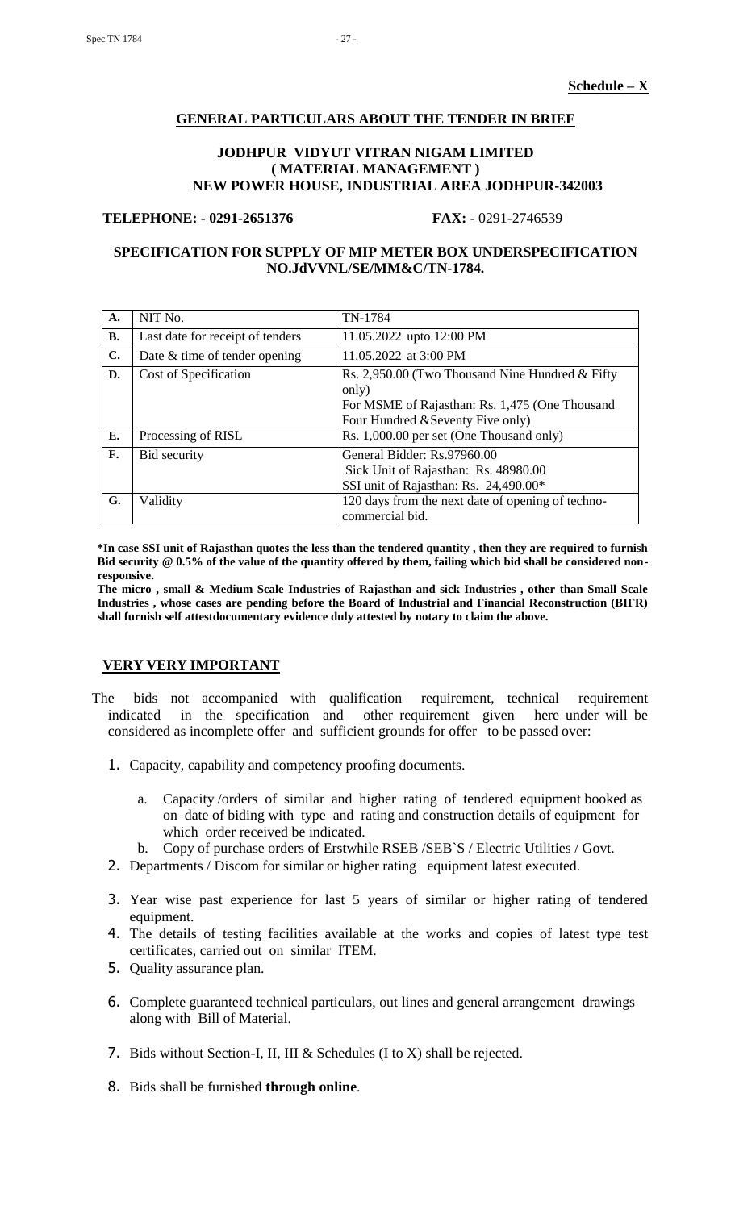#### **GENERAL PARTICULARS ABOUT THE TENDER IN BRIEF**

#### **JODHPUR VIDYUT VITRAN NIGAM LIMITED ( MATERIAL MANAGEMENT ) NEW POWER HOUSE, INDUSTRIAL AREA JODHPUR-342003**

#### **TELEPHONE: - 0291-2651376 FAX: -** 0291-2746539

# **SPECIFICATION FOR SUPPLY OF MIP METER BOX UNDERSPECIFICATION NO.JdVVNL/SE/MM&C/TN-1784.**

| A.        | NIT No.                          | TN-1784                                                                                                                                         |
|-----------|----------------------------------|-------------------------------------------------------------------------------------------------------------------------------------------------|
| <b>B.</b> | Last date for receipt of tenders | 11.05.2022 upto 12:00 PM                                                                                                                        |
| C.        | Date $&$ time of tender opening  | 11.05.2022 at 3:00 PM                                                                                                                           |
| D.        | Cost of Specification            | Rs. 2,950.00 (Two Thousand Nine Hundred & Fifty<br>only)<br>For MSME of Rajasthan: Rs. 1,475 (One Thousand<br>Four Hundred & Seventy Five only) |
| Е.        | Processing of RISL               | Rs. 1,000.00 per set (One Thousand only)                                                                                                        |
| F.        | Bid security                     | General Bidder: Rs.97960.00<br>Sick Unit of Rajasthan: Rs. 48980.00<br>SSI unit of Rajasthan: Rs. 24,490.00*                                    |
| G.        | Validity                         | 120 days from the next date of opening of techno-<br>commercial bid.                                                                            |

**\*In case SSI unit of Rajasthan quotes the less than the tendered quantity , then they are required to furnish Bid security @ 0.5% of the value of the quantity offered by them, failing which bid shall be considered nonresponsive.**

**The micro , small & Medium Scale Industries of Rajasthan and sick Industries , other than Small Scale Industries , whose cases are pending before the Board of Industrial and Financial Reconstruction (BIFR) shall furnish self attestdocumentary evidence duly attested by notary to claim the above.**

#### **VERY VERY IMPORTANT**

- The bids not accompanied with qualification requirement, technical requirement indicated in the specification and other requirement given here under will be considered as incomplete offer and sufficient grounds for offer to be passed over:
	- 1. Capacity, capability and competency proofing documents.
		- a. Capacity /orders of similar and higher rating of tendered equipment booked as on date of biding with type and rating and construction details of equipment for which order received be indicated.
		- b. Copy of purchase orders of Erstwhile RSEB /SEB`S / Electric Utilities / Govt.
	- 2. Departments / Discom for similar or higher rating equipment latest executed.
	- 3. Year wise past experience for last 5 years of similar or higher rating of tendered equipment.
	- 4. The details of testing facilities available at the works and copies of latest type test certificates, carried out on similar ITEM.
	- 5. Quality assurance plan.
	- 6. Complete guaranteed technical particulars, out lines and general arrangement drawings along with Bill of Material.
	- 7. Bids without Section-I, II, III & Schedules (I to X) shall be rejected.
	- 8. Bids shall be furnished **through online**.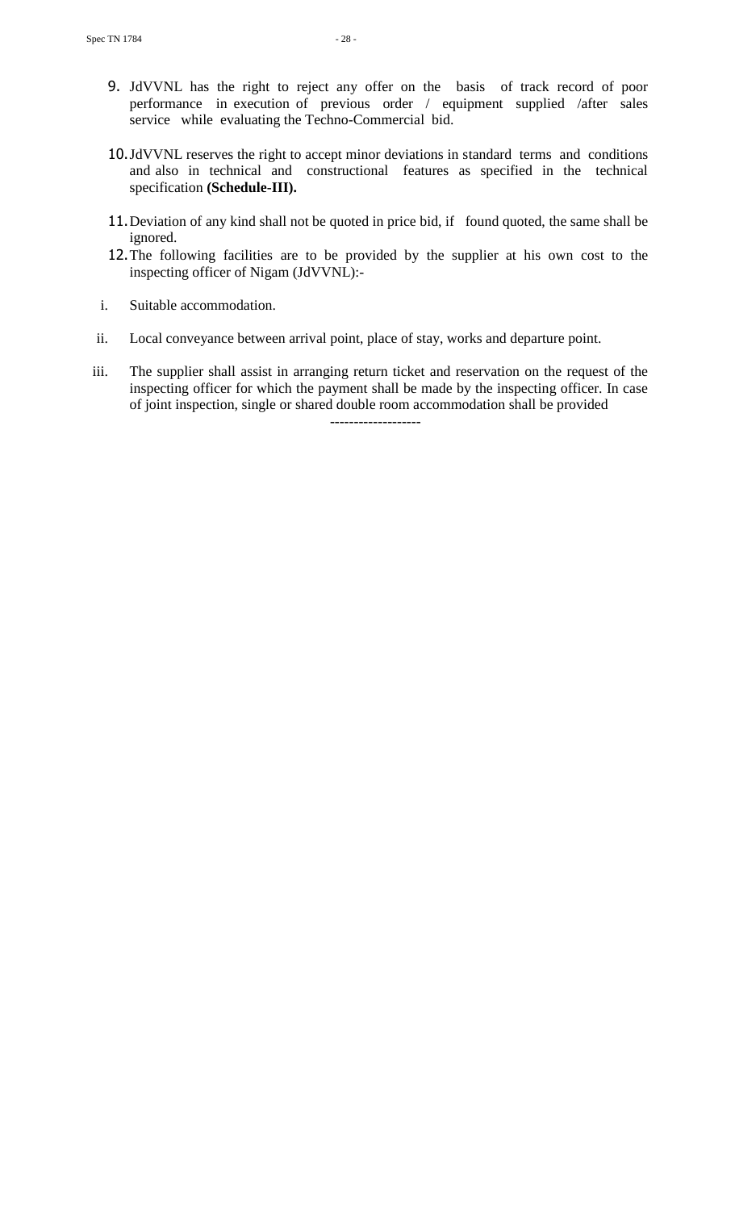- 9. JdVVNL has the right to reject any offer on the basis of track record of poor performance in execution of previous order / equipment supplied /after sales service while evaluating the Techno-Commercial bid.
- 10.JdVVNL reserves the right to accept minor deviations in standard terms and conditions and also in technical and constructional features as specified in the technical specification **(Schedule-III).**
- 11. Deviation of any kind shall not be quoted in price bid, if found quoted, the same shall be ignored.
- 12.The following facilities are to be provided by the supplier at his own cost to the inspecting officer of Nigam (JdVVNL):-
- i. Suitable accommodation.
- ii. Local conveyance between arrival point, place of stay, works and departure point.
- iii. The supplier shall assist in arranging return ticket and reservation on the request of the inspecting officer for which the payment shall be made by the inspecting officer. In case of joint inspection, single or shared double room accommodation shall be provided **-------------------**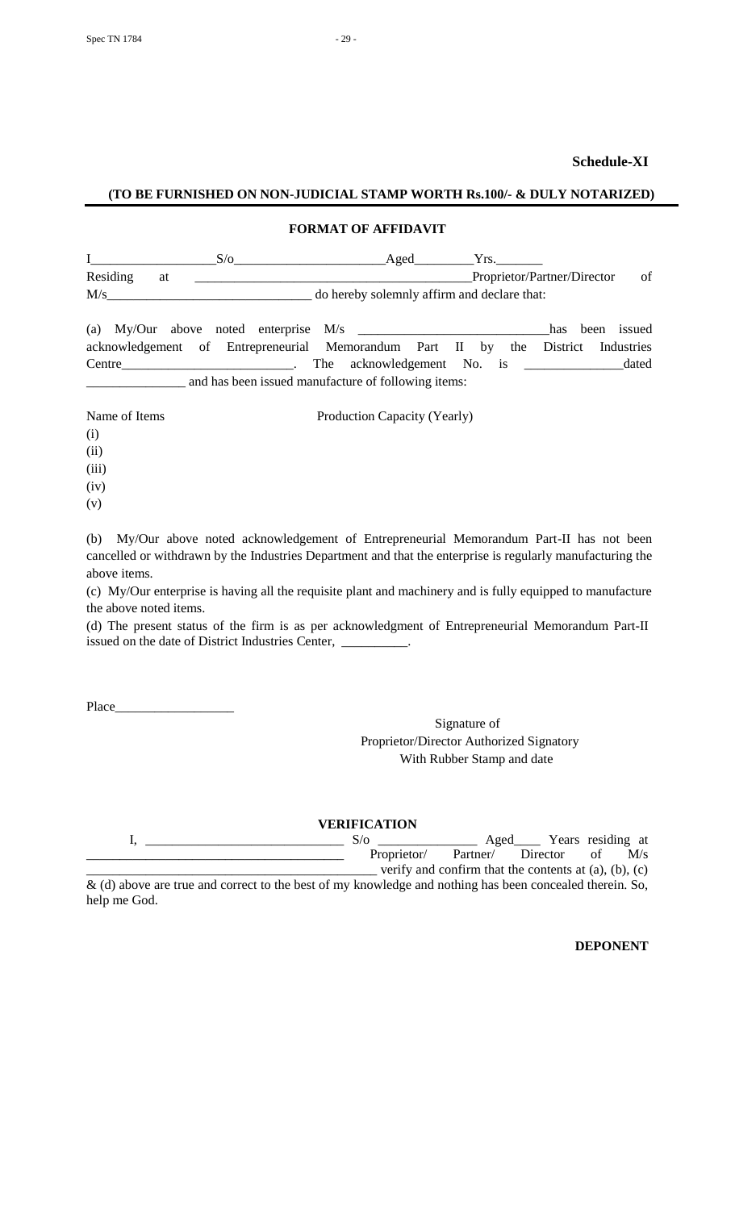# **Schedule-XI**

#### **(TO BE FURNISHED ON NON-JUDICIAL STAMP WORTH Rs.100/- & DULY NOTARIZED)**

# **FORMAT OF AFFIDAVIT**

|                                                                       |    | $S/\sigma$                                          |                                             |  | Aged |  | Yrs. |                             |                |    |
|-----------------------------------------------------------------------|----|-----------------------------------------------------|---------------------------------------------|--|------|--|------|-----------------------------|----------------|----|
| Residing                                                              | at |                                                     |                                             |  |      |  |      | Proprietor/Partner/Director |                | of |
| M/s                                                                   |    |                                                     | do hereby solemnly affirm and declare that: |  |      |  |      |                             |                |    |
| (a) My/Our above noted enterprise $M/s$                               |    |                                                     |                                             |  |      |  |      | has                         | issued<br>been |    |
| acknowledgement of Entrepreneurial Memorandum Part II by the District |    |                                                     |                                             |  |      |  |      |                             | Industries     |    |
| Centre                                                                |    |                                                     |                                             |  |      |  |      |                             | dated          |    |
|                                                                       |    | and has been issued manufacture of following items: |                                             |  |      |  |      |                             |                |    |

Name of Items Production Capacity (Yearly) (i) (ii) (iii) (iv) (v)

(b) My/Our above noted acknowledgement of Entrepreneurial Memorandum Part-II has not been cancelled or withdrawn by the Industries Department and that the enterprise is regularly manufacturing the above items.

(c) My/Our enterprise is having all the requisite plant and machinery and is fully equipped to manufacture the above noted items.

(d) The present status of the firm is as per acknowledgment of Entrepreneurial Memorandum Part-II issued on the date of District Industries Center, \_

Place\_

Signature of Proprietor/Director Authorized Signatory With Rubber Stamp and date

**VERIFICATION**

|                                                                                                            | S/O         | Aged     |                                                               | Years residing at |     |
|------------------------------------------------------------------------------------------------------------|-------------|----------|---------------------------------------------------------------|-------------------|-----|
|                                                                                                            | Proprietor/ | Partner/ | Director                                                      | of                | M/s |
|                                                                                                            |             |          | verify and confirm that the contents at $(a)$ , $(b)$ , $(c)$ |                   |     |
| $\&$ (d) above are true and correct to the best of my knowledge and nothing has been concealed therein. So |             |          |                                                               |                   |     |

& (d) above are true and correct to the best of my knowledge and nothing has been concealed therein. So, help me God.

**DEPONENT**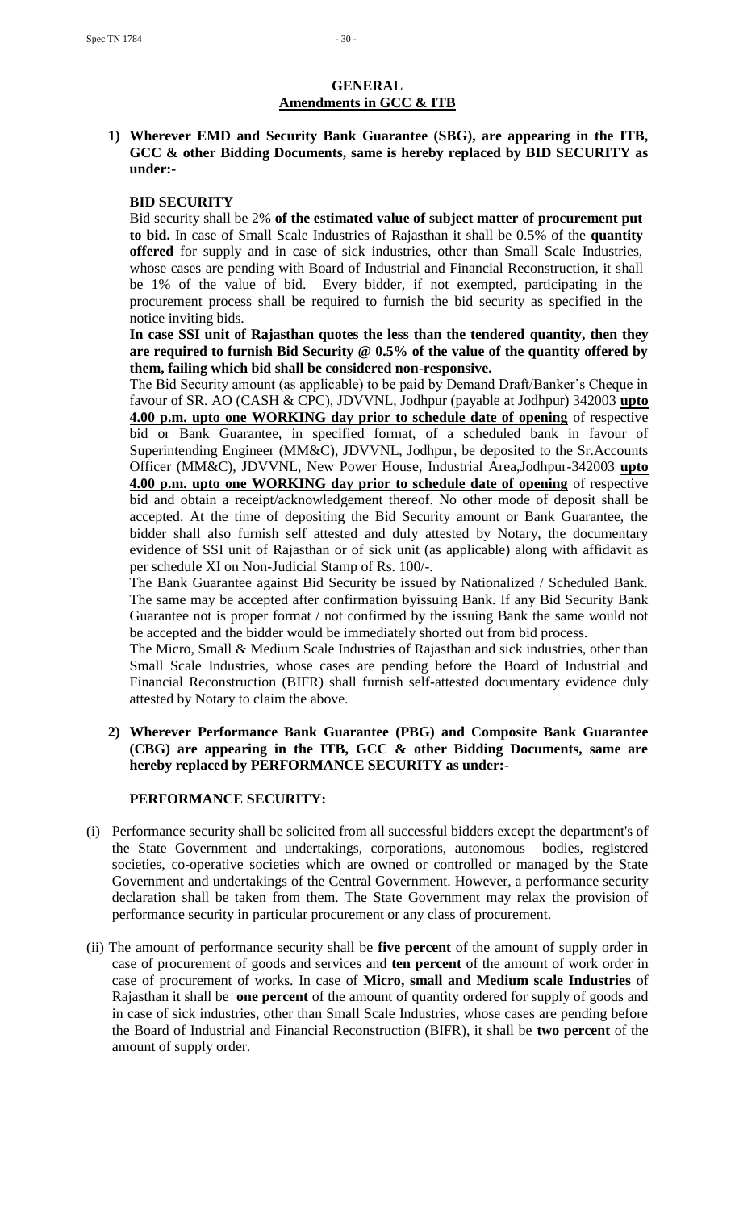# **GENERAL Amendments in GCC & ITB**

**1) Wherever EMD and Security Bank Guarantee (SBG), are appearing in the ITB, GCC & other Bidding Documents, same is hereby replaced by BID SECURITY as under:-**

#### **BID SECURITY**

Bid security shall be 2% **of the estimated value of subject matter of procurement put to bid.** In case of Small Scale Industries of Rajasthan it shall be 0.5% of the **quantity offered** for supply and in case of sick industries, other than Small Scale Industries, whose cases are pending with Board of Industrial and Financial Reconstruction, it shall be 1% of the value of bid. Every bidder, if not exempted, participating in the procurement process shall be required to furnish the bid security as specified in the notice inviting bids.

# **In case SSI unit of Rajasthan quotes the less than the tendered quantity, then they are required to furnish Bid Security @ 0.5% of the value of the quantity offered by them, failing which bid shall be considered non-responsive.**

The Bid Security amount (as applicable) to be paid by Demand Draft/Banker"s Cheque in favour of SR. AO (CASH & CPC), JDVVNL, Jodhpur (payable at Jodhpur) 342003 **upto 4.00 p.m. upto one WORKING day prior to schedule date of opening** of respective bid or Bank Guarantee, in specified format, of a scheduled bank in favour of Superintending Engineer (MM&C), JDVVNL, Jodhpur, be deposited to the Sr.Accounts Officer (MM&C), JDVVNL, New Power House, Industrial Area,Jodhpur-342003 **upto 4.00 p.m. upto one WORKING day prior to schedule date of opening** of respective bid and obtain a receipt/acknowledgement thereof. No other mode of deposit shall be accepted. At the time of depositing the Bid Security amount or Bank Guarantee, the bidder shall also furnish self attested and duly attested by Notary, the documentary evidence of SSI unit of Rajasthan or of sick unit (as applicable) along with affidavit as per schedule XI on Non-Judicial Stamp of Rs. 100/-.

The Bank Guarantee against Bid Security be issued by Nationalized / Scheduled Bank. The same may be accepted after confirmation byissuing Bank. If any Bid Security Bank Guarantee not is proper format / not confirmed by the issuing Bank the same would not be accepted and the bidder would be immediately shorted out from bid process.

The Micro, Small & Medium Scale Industries of Rajasthan and sick industries, other than Small Scale Industries, whose cases are pending before the Board of Industrial and Financial Reconstruction (BIFR) shall furnish self-attested documentary evidence duly attested by Notary to claim the above.

# **2) Wherever Performance Bank Guarantee (PBG) and Composite Bank Guarantee (CBG) are appearing in the ITB, GCC & other Bidding Documents, same are hereby replaced by PERFORMANCE SECURITY as under:-**

# **PERFORMANCE SECURITY:**

- (i) Performance security shall be solicited from all successful bidders except the department's of the State Government and undertakings, corporations, autonomous bodies, registered societies, co-operative societies which are owned or controlled or managed by the State Government and undertakings of the Central Government. However, a performance security declaration shall be taken from them. The State Government may relax the provision of performance security in particular procurement or any class of procurement.
- (ii) The amount of performance security shall be **five percent** of the amount of supply order in case of procurement of goods and services and **ten percent** of the amount of work order in case of procurement of works. In case of **Micro, small and Medium scale Industries** of Rajasthan it shall be **one percent** of the amount of quantity ordered for supply of goods and in case of sick industries, other than Small Scale Industries, whose cases are pending before the Board of Industrial and Financial Reconstruction (BIFR), it shall be **two percent** of the amount of supply order.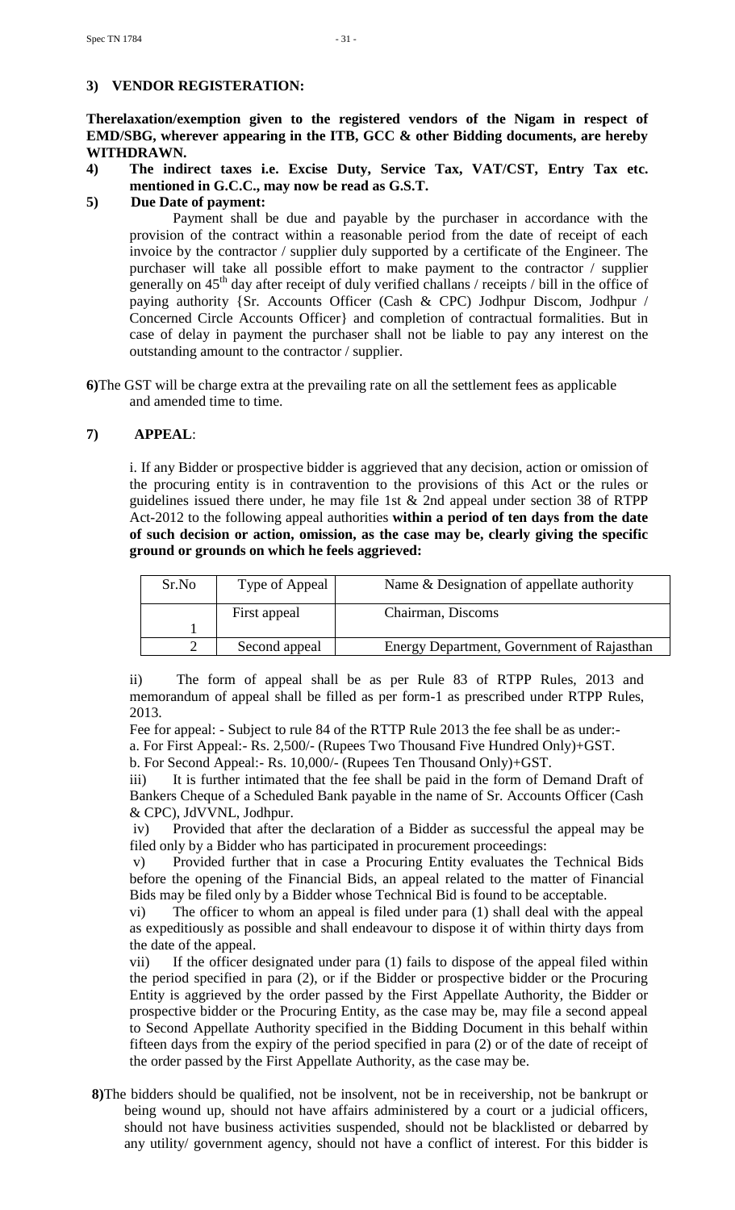# **3) VENDOR REGISTERATION:**

**Therelaxation/exemption given to the registered vendors of the Nigam in respect of EMD/SBG, wherever appearing in the ITB, GCC & other Bidding documents, are hereby WITHDRAWN.**

**4) The indirect taxes i.e. Excise Duty, Service Tax, VAT/CST, Entry Tax etc. mentioned in G.C.C., may now be read as G.S.T.**

#### **5) Due Date of payment:**

Payment shall be due and payable by the purchaser in accordance with the provision of the contract within a reasonable period from the date of receipt of each invoice by the contractor / supplier duly supported by a certificate of the Engineer. The purchaser will take all possible effort to make payment to the contractor / supplier generally on  $45<sup>th</sup>$  day after receipt of duly verified challans / receipts / bill in the office of paying authority {Sr. Accounts Officer (Cash & CPC) Jodhpur Discom, Jodhpur / Concerned Circle Accounts Officer} and completion of contractual formalities. But in case of delay in payment the purchaser shall not be liable to pay any interest on the outstanding amount to the contractor / supplier.

**6)**The GST will be charge extra at the prevailing rate on all the settlement fees as applicable and amended time to time.

#### **7) APPEAL**:

i. If any Bidder or prospective bidder is aggrieved that any decision, action or omission of the procuring entity is in contravention to the provisions of this Act or the rules or guidelines issued there under, he may file 1st & 2nd appeal under section 38 of RTPP Act-2012 to the following appeal authorities **within a period of ten days from the date of such decision or action, omission, as the case may be, clearly giving the specific ground or grounds on which he feels aggrieved:** 

| Sr.No | Type of Appeal | Name & Designation of appellate authority  |
|-------|----------------|--------------------------------------------|
|       | First appeal   | Chairman, Discoms                          |
|       |                |                                            |
|       | Second appeal  | Energy Department, Government of Rajasthan |

ii) The form of appeal shall be as per Rule 83 of RTPP Rules, 2013 and memorandum of appeal shall be filled as per form-1 as prescribed under RTPP Rules, 2013.

Fee for appeal: - Subject to rule 84 of the RTTP Rule 2013 the fee shall be as under: a. For First Appeal:- Rs. 2,500/- (Rupees Two Thousand Five Hundred Only)+GST.

b. For Second Appeal:- Rs. 10,000/- (Rupees Ten Thousand Only)+GST.

iii) It is further intimated that the fee shall be paid in the form of Demand Draft of Bankers Cheque of a Scheduled Bank payable in the name of Sr. Accounts Officer (Cash & CPC), JdVVNL, Jodhpur.

iv) Provided that after the declaration of a Bidder as successful the appeal may be filed only by a Bidder who has participated in procurement proceedings:

v) Provided further that in case a Procuring Entity evaluates the Technical Bids before the opening of the Financial Bids, an appeal related to the matter of Financial Bids may be filed only by a Bidder whose Technical Bid is found to be acceptable.

vi) The officer to whom an appeal is filed under para (1) shall deal with the appeal as expeditiously as possible and shall endeavour to dispose it of within thirty days from the date of the appeal.

vii) If the officer designated under para (1) fails to dispose of the appeal filed within the period specified in para (2), or if the Bidder or prospective bidder or the Procuring Entity is aggrieved by the order passed by the First Appellate Authority, the Bidder or prospective bidder or the Procuring Entity, as the case may be, may file a second appeal to Second Appellate Authority specified in the Bidding Document in this behalf within fifteen days from the expiry of the period specified in para (2) or of the date of receipt of the order passed by the First Appellate Authority, as the case may be.

**8)**The bidders should be qualified, not be insolvent, not be in receivership, not be bankrupt or being wound up, should not have affairs administered by a court or a judicial officers, should not have business activities suspended, should not be blacklisted or debarred by any utility/ government agency, should not have a conflict of interest. For this bidder is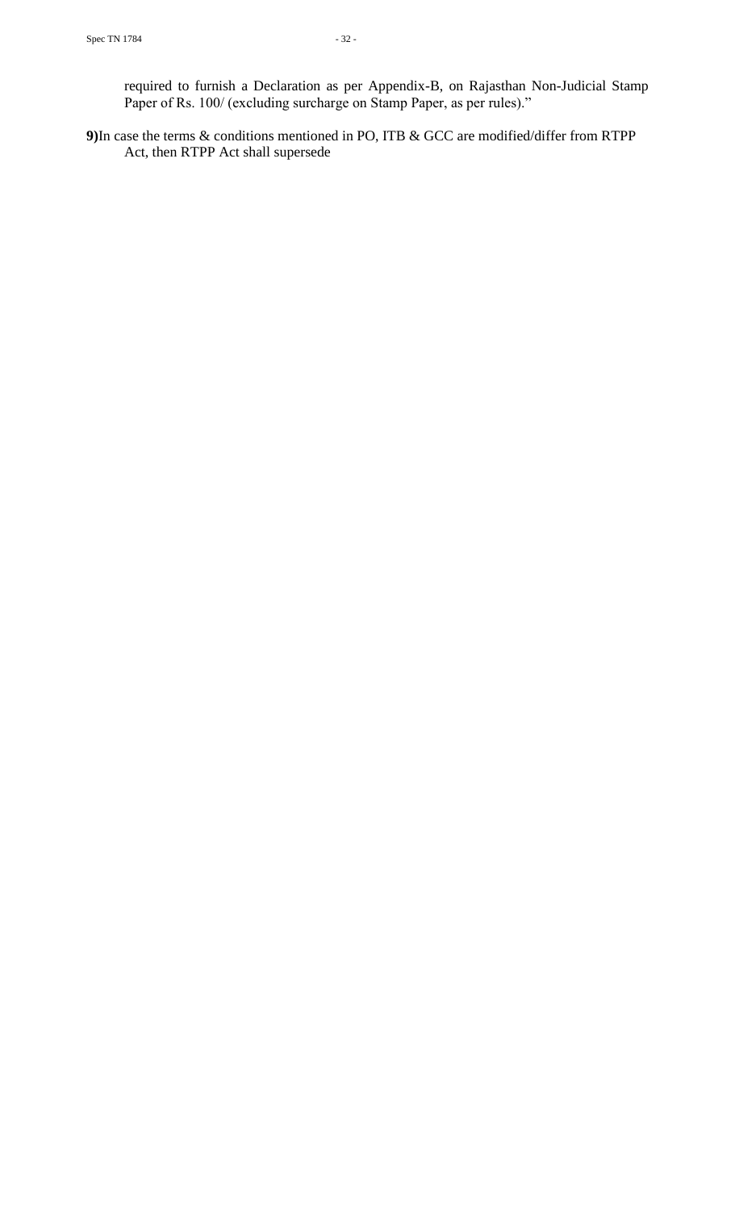required to furnish a Declaration as per Appendix-B, on Rajasthan Non-Judicial Stamp Paper of Rs. 100/ (excluding surcharge on Stamp Paper, as per rules)."

**9)**In case the terms & conditions mentioned in PO, ITB & GCC are modified/differ from RTPP Act, then RTPP Act shall supersede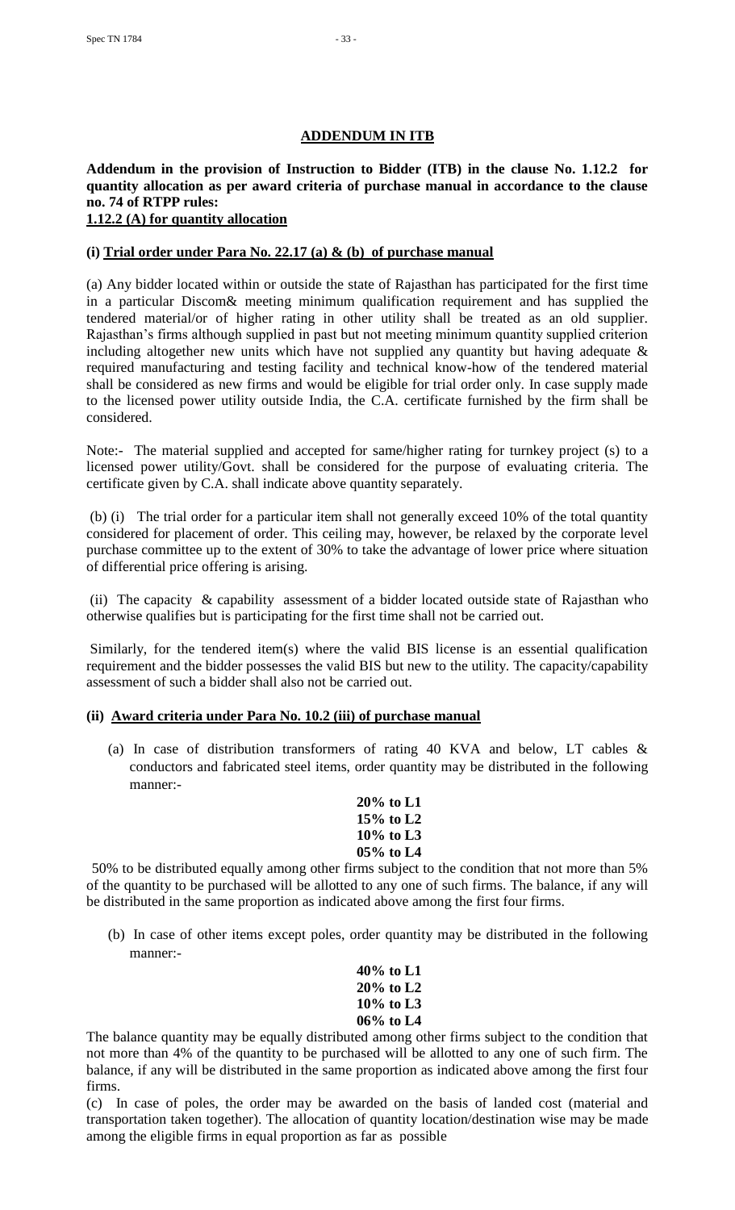# **ADDENDUM IN ITB**

# **Addendum in the provision of Instruction to Bidder (ITB) in the clause No. 1.12.2 for quantity allocation as per award criteria of purchase manual in accordance to the clause no. 74 of RTPP rules: 1.12.2 (A) for quantity allocation**

# **(i) Trial order under Para No. 22.17 (a) & (b) of purchase manual**

(a) Any bidder located within or outside the state of Rajasthan has participated for the first time in a particular Discom& meeting minimum qualification requirement and has supplied the tendered material/or of higher rating in other utility shall be treated as an old supplier. Rajasthan"s firms although supplied in past but not meeting minimum quantity supplied criterion including altogether new units which have not supplied any quantity but having adequate  $\&$ required manufacturing and testing facility and technical know-how of the tendered material shall be considered as new firms and would be eligible for trial order only. In case supply made to the licensed power utility outside India, the C.A. certificate furnished by the firm shall be considered.

Note:- The material supplied and accepted for same/higher rating for turnkey project (s) to a licensed power utility/Govt. shall be considered for the purpose of evaluating criteria. The certificate given by C.A. shall indicate above quantity separately.

(b) (i) The trial order for a particular item shall not generally exceed 10% of the total quantity considered for placement of order. This ceiling may, however, be relaxed by the corporate level purchase committee up to the extent of 30% to take the advantage of lower price where situation of differential price offering is arising.

(ii) The capacity & capability assessment of a bidder located outside state of Rajasthan who otherwise qualifies but is participating for the first time shall not be carried out.

Similarly, for the tendered item(s) where the valid BIS license is an essential qualification requirement and the bidder possesses the valid BIS but new to the utility. The capacity/capability assessment of such a bidder shall also not be carried out.

# **(ii) Award criteria under Para No. 10.2 (iii) of purchase manual**

- (a) In case of distribution transformers of rating 40 KVA and below, LT cables & conductors and fabricated steel items, order quantity may be distributed in the following manner:-
	- **20% to L1 15% to L2 10% to L3 05% to L4**

50% to be distributed equally among other firms subject to the condition that not more than 5% of the quantity to be purchased will be allotted to any one of such firms. The balance, if any will be distributed in the same proportion as indicated above among the first four firms.

(b) In case of other items except poles, order quantity may be distributed in the following manner:-

| 40% to L1    |
|--------------|
| $20\%$ to L2 |
| 10% to L3    |
| 06% to L4    |

The balance quantity may be equally distributed among other firms subject to the condition that not more than 4% of the quantity to be purchased will be allotted to any one of such firm. The balance, if any will be distributed in the same proportion as indicated above among the first four firms.

(c) In case of poles, the order may be awarded on the basis of landed cost (material and transportation taken together). The allocation of quantity location/destination wise may be made among the eligible firms in equal proportion as far as possible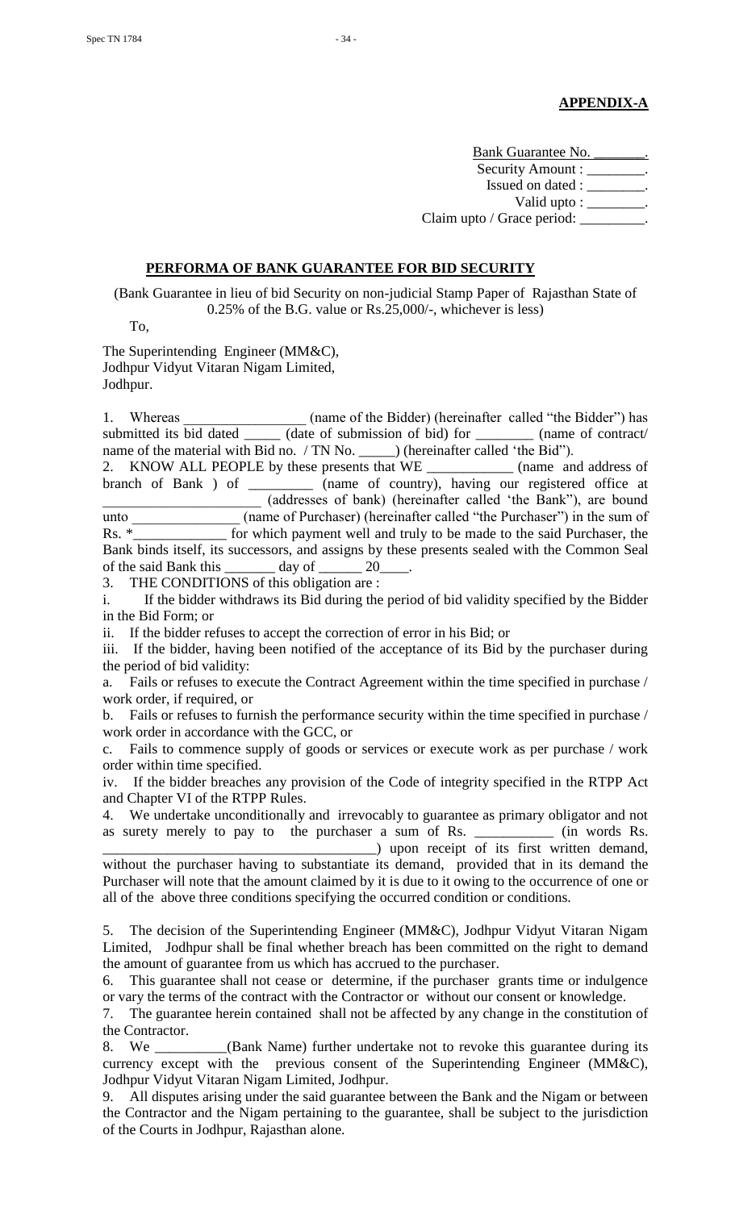Bank Guarantee No. \_\_\_\_\_\_\_. Security Amount : \_\_\_\_\_\_\_\_. Issued on dated : \_\_\_\_\_\_\_\_. Valid upto : \_\_\_\_\_\_\_ Claim upto / Grace period: \_\_\_\_\_\_\_\_\_.

#### **PERFORMA OF BANK GUARANTEE FOR BID SECURITY**

(Bank Guarantee in lieu of bid Security on non-judicial Stamp Paper of Rajasthan State of 0.25% of the B.G. value or Rs.25,000/-, whichever is less)

To,

The Superintending Engineer (MM&C), Jodhpur Vidyut Vitaran Nigam Limited, Jodhpur.

1. Whereas (name of the Bidder) (hereinafter called "the Bidder") has submitted its bid dated  $\frac{1}{\sqrt{1-\frac{1}{n}}}$  (date of submission of bid) for  $\frac{1}{\sqrt{1-\frac{1}{n}}}$  (name of contract/ name of the material with Bid no. / TN No. \_\_\_\_\_\_) (hereinafter called 'the Bid''). 2. KNOW ALL PEOPLE by these presents that WE \_\_\_\_\_\_\_\_\_\_\_\_ (name and address of branch of Bank ) of \_\_\_\_\_\_\_\_\_ (name of country), having our registered office at \_\_\_\_\_\_\_\_\_\_\_\_\_\_\_\_\_\_\_\_\_\_ (addresses of bank) (hereinafter called "the Bank"), are bound unto \_\_\_\_\_\_\_\_\_\_\_\_\_\_ (name of Purchaser) (hereinafter called "the Purchaser") in the sum of Rs. \*\_\_\_\_\_\_\_\_\_\_\_\_\_\_ for which payment well and truly to be made to the said Purchaser, the Bank binds itself, its successors, and assigns by these presents sealed with the Common Seal of the said Bank this \_\_\_\_\_\_\_ day of \_\_\_\_\_\_ 20\_\_\_\_.

3. THE CONDITIONS of this obligation are :

i. If the bidder withdraws its Bid during the period of bid validity specified by the Bidder in the Bid Form; or

ii. If the bidder refuses to accept the correction of error in his Bid; or

iii. If the bidder, having been notified of the acceptance of its Bid by the purchaser during the period of bid validity:

a. Fails or refuses to execute the Contract Agreement within the time specified in purchase / work order, if required, or

b. Fails or refuses to furnish the performance security within the time specified in purchase / work order in accordance with the GCC, or

c. Fails to commence supply of goods or services or execute work as per purchase / work order within time specified.

iv. If the bidder breaches any provision of the Code of integrity specified in the RTPP Act and Chapter VI of the RTPP Rules.

4. We undertake unconditionally and irrevocably to guarantee as primary obligator and not as surety merely to pay to the purchaser a sum of Rs. \_\_\_\_\_\_\_\_\_\_\_\_\_\_ (in words Rs. as surety merely to pay to the purchaser a sum of Rs. \_\_\_\_\_ \_\_\_\_\_\_\_\_\_\_\_\_\_\_\_\_\_\_\_\_\_\_\_\_\_\_\_\_\_\_\_\_\_\_\_\_\_\_) upon receipt of its first written demand,

without the purchaser having to substantiate its demand, provided that in its demand the Purchaser will note that the amount claimed by it is due to it owing to the occurrence of one or all of the above three conditions specifying the occurred condition or conditions.

5. The decision of the Superintending Engineer (MM&C), Jodhpur Vidyut Vitaran Nigam Limited, Jodhpur shall be final whether breach has been committed on the right to demand the amount of guarantee from us which has accrued to the purchaser.

6. This guarantee shall not cease or determine, if the purchaser grants time or indulgence or vary the terms of the contract with the Contractor or without our consent or knowledge.

7. The guarantee herein contained shall not be affected by any change in the constitution of the Contractor.

8. We \_\_\_\_\_\_\_\_\_(Bank Name) further undertake not to revoke this guarantee during its currency except with the previous consent of the Superintending Engineer (MM&C), Jodhpur Vidyut Vitaran Nigam Limited, Jodhpur.

9. All disputes arising under the said guarantee between the Bank and the Nigam or between the Contractor and the Nigam pertaining to the guarantee, shall be subject to the jurisdiction of the Courts in Jodhpur, Rajasthan alone.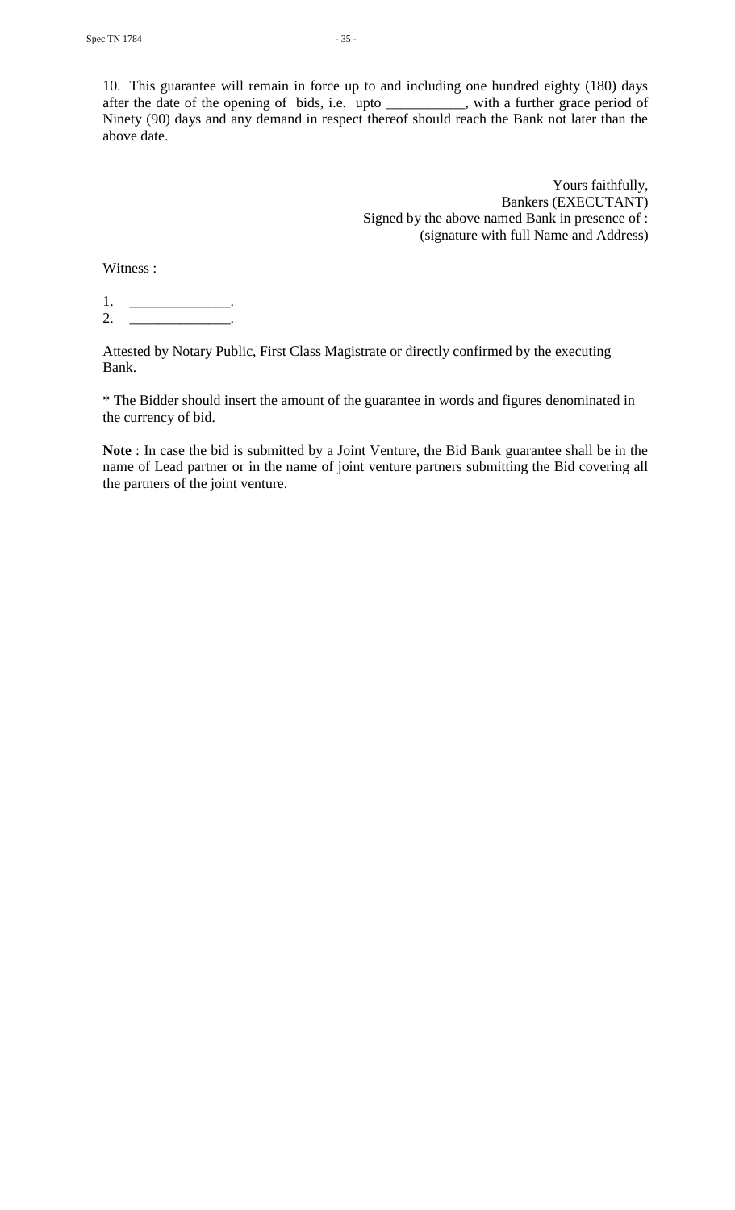10. This guarantee will remain in force up to and including one hundred eighty (180) days after the date of the opening of bids, i.e. upto \_\_\_\_\_\_\_\_\_\_\_, with a further grace period of Ninety (90) days and any demand in respect thereof should reach the Bank not later than the above date.

> Yours faithfully, Bankers (EXECUTANT) Signed by the above named Bank in presence of : (signature with full Name and Address)

Witness :

1. \_\_\_\_\_\_\_\_\_\_\_\_\_\_\_\_\_\_\_\_\_\_. 2. \_\_\_\_\_\_\_\_\_\_\_\_\_\_\_\_\_\_\_\_\_.

Attested by Notary Public, First Class Magistrate or directly confirmed by the executing Bank.

\* The Bidder should insert the amount of the guarantee in words and figures denominated in the currency of bid.

**Note** : In case the bid is submitted by a Joint Venture, the Bid Bank guarantee shall be in the name of Lead partner or in the name of joint venture partners submitting the Bid covering all the partners of the joint venture.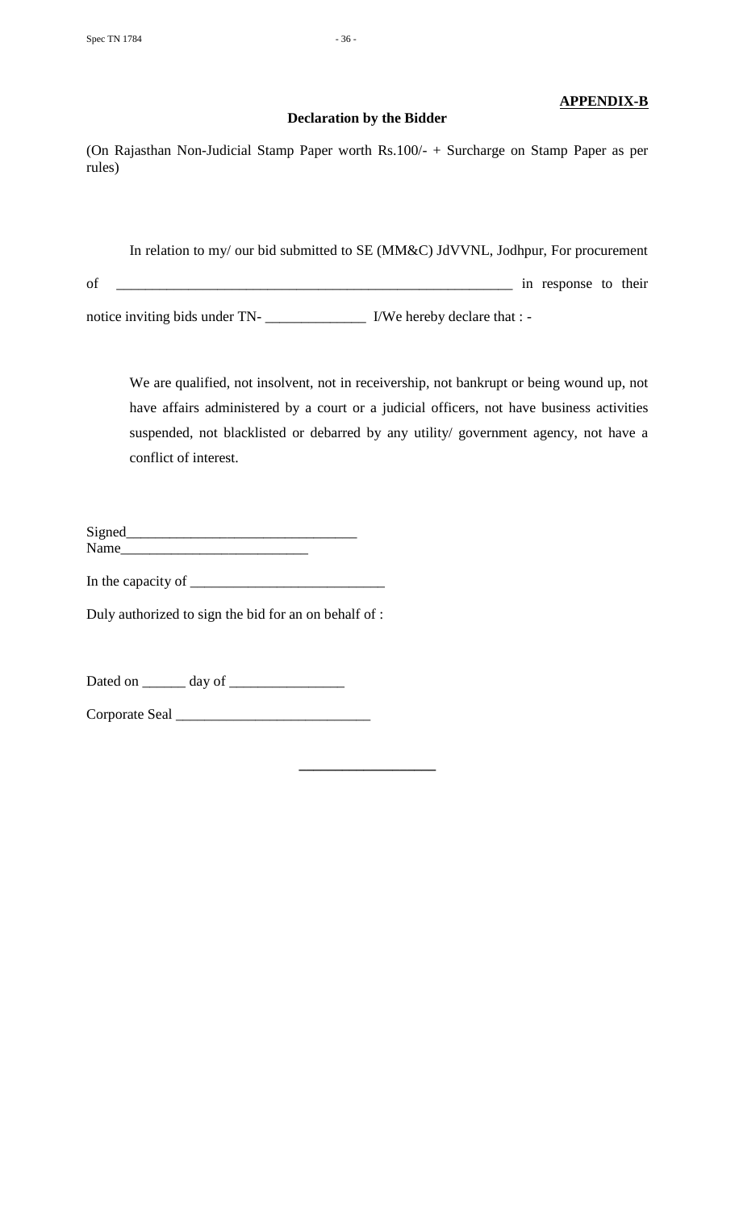# **APPENDIX-B**

(On Rajasthan Non-Judicial Stamp Paper worth Rs.100/- + Surcharge on Stamp Paper as per rules)

**Declaration by the Bidder**

In relation to my/ our bid submitted to SE (MM&C) JdVVNL, Jodhpur, For procurement of \_\_\_\_\_\_\_\_\_\_\_\_\_\_\_\_\_\_\_\_\_\_\_\_\_\_\_\_\_\_\_\_\_\_\_\_\_\_\_\_\_\_\_\_\_\_\_\_\_\_\_\_\_\_\_ in response to their notice inviting bids under TN- \_\_\_\_\_\_\_\_\_\_\_\_\_\_\_\_\_\_\_\_\_\_ I/We hereby declare that : -

We are qualified, not insolvent, not in receivership, not bankrupt or being wound up, not have affairs administered by a court or a judicial officers, not have business activities suspended, not blacklisted or debarred by any utility/ government agency, not have a conflict of interest.

**\_\_\_\_\_\_\_\_\_\_\_\_\_\_\_\_\_\_\_**

| Signed |  |
|--------|--|
| Name   |  |

In the capacity of \_\_\_\_\_\_\_\_\_\_\_\_\_\_\_\_\_\_\_\_\_\_\_\_\_\_\_

Duly authorized to sign the bid for an on behalf of :

Dated on \_\_\_\_\_\_ day of \_\_\_\_\_\_\_\_\_\_\_\_\_\_\_\_

Corporate Seal \_\_\_\_\_\_\_\_\_\_\_\_\_\_\_\_\_\_\_\_\_\_\_\_\_\_\_